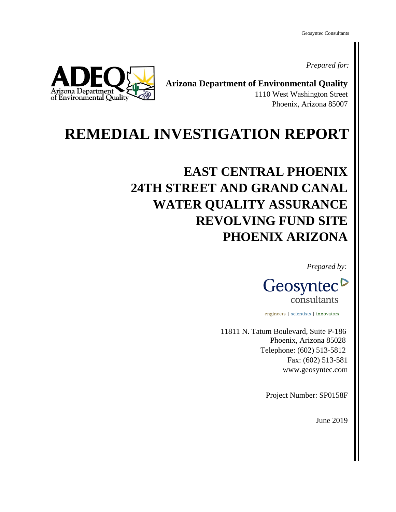Geosyntec Consultants

*Prepared for:*



**Arizona Department of Environmental Quality** 1110 West Washington Street Phoenix, Arizona 85007

## **REMEDIAL INVESTIGATION REPORT**

## **EAST CENTRAL PHOENIX 24TH STREET AND GRAND CANAL WATER QUALITY ASSURANCE REVOLVING FUND SITE PHOENIX ARIZONA**

*Prepared by:*



engineers | scientists | innovators

11811 N. Tatum Boulevard, Suite P-186 Phoenix, Arizona 85028 Telephone: (602) 513-5812 Fax: (602) 513-581 www.geosyntec.com

Project Number: SP0158F

June 2019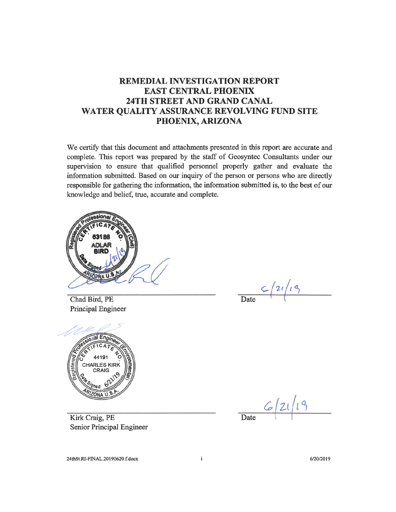## **REMEDIAL INVESTIGATION REPORT EAST CENTRAL PHOENIX** 24TH STREET AND GRAND CANAL WATER QUALITY ASSURANCE REVOLVING FUND SITE PHOENIX, ARIZONA

We certify that this document and attachments presented in this report are accurate and complete. This report was prepared by the staff of Geosyntec Consultants under our supervision to ensure that qualified personnel properly gather and evaluate the information submitted. Based on our inquiry of the person or persons who are directly responsible for gathering the information, the information submitted is, to the best of our knowledge and belief, true, accurate and complete.



Chad Bird, PE Principal Engineer

Date  $\frac{c}{2i/19}$ 



 $6/21/19$ 

Kirk Craig, PE Senior Principal Engineer

24thSt.RI-FINAL.20190620.f.docx

 $\mathbf i$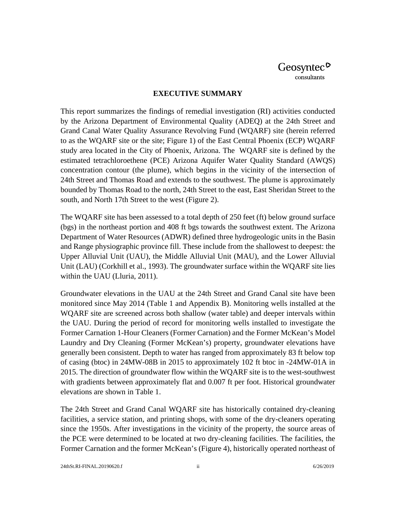#### **EXECUTIVE SUMMARY**

This report summarizes the findings of remedial investigation (RI) activities conducted by the Arizona Department of Environmental Quality (ADEQ) at the 24th Street and Grand Canal Water Quality Assurance Revolving Fund (WQARF) site (herein referred to as the WQARF site or the site; Figure 1) of the East Central Phoenix (ECP) WQARF study area located in the City of Phoenix, Arizona. The WQARF site is defined by the estimated tetrachloroethene (PCE) Arizona Aquifer Water Quality Standard (AWQS) concentration contour (the plume), which begins in the vicinity of the intersection of 24th Street and Thomas Road and extends to the southwest. The plume is approximately bounded by Thomas Road to the north, 24th Street to the east, East Sheridan Street to the south, and North 17th Street to the west (Figure 2).

The WQARF site has been assessed to a total depth of 250 feet (ft) below ground surface (bgs) in the northeast portion and 408 ft bgs towards the southwest extent. The Arizona Department of Water Resources (ADWR) defined three hydrogeologic units in the Basin and Range physiographic province fill. These include from the shallowest to deepest: the Upper Alluvial Unit (UAU), the Middle Alluvial Unit (MAU), and the Lower Alluvial Unit (LAU) (Corkhill et al., 1993). The groundwater surface within the WQARF site lies within the UAU (Lluria, 2011).

Groundwater elevations in the UAU at the 24th Street and Grand Canal site have been monitored since May 2014 (Table 1 and Appendix B). Monitoring wells installed at the WQARF site are screened across both shallow (water table) and deeper intervals within the UAU. During the period of record for monitoring wells installed to investigate the Former Carnation 1-Hour Cleaners (Former Carnation) and the Former McKean's Model Laundry and Dry Cleaning (Former McKean's) property, groundwater elevations have generally been consistent. Depth to water has ranged from approximately 83 ft below top of casing (btoc) in 24MW-08B in 2015 to approximately 102 ft btoc in -24MW-01A in 2015. The direction of groundwater flow within the WQARF site is to the west-southwest with gradients between approximately flat and 0.007 ft per foot. Historical groundwater elevations are shown in Table 1.

The 24th Street and Grand Canal WQARF site has historically contained dry-cleaning facilities, a service station, and printing shops, with some of the dry-cleaners operating since the 1950s. After investigations in the vicinity of the property, the source areas of the PCE were determined to be located at two dry-cleaning facilities. The facilities, the Former Carnation and the former McKean's (Figure 4), historically operated northeast of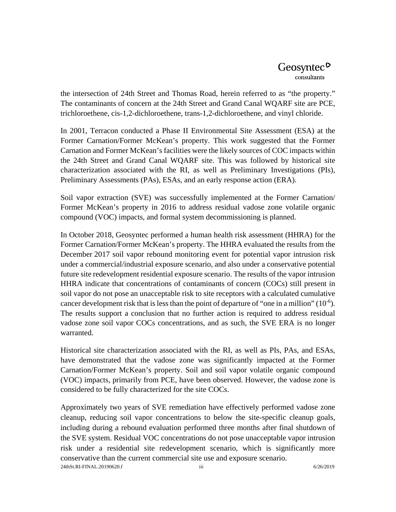the intersection of 24th Street and Thomas Road, herein referred to as "the property." The contaminants of concern at the 24th Street and Grand Canal WQARF site are PCE, trichloroethene, cis-1,2-dichloroethene, trans-1,2-dichloroethene, and vinyl chloride.

In 2001, Terracon conducted a Phase II Environmental Site Assessment (ESA) at the Former Carnation/Former McKean's property. This work suggested that the Former Carnation and Former McKean's facilities were the likely sources of COC impacts within the 24th Street and Grand Canal WQARF site. This was followed by historical site characterization associated with the RI, as well as Preliminary Investigations (PIs), Preliminary Assessments (PAs), ESAs, and an early response action (ERA).

Soil vapor extraction (SVE) was successfully implemented at the Former Carnation/ Former McKean's property in 2016 to address residual vadose zone volatile organic compound (VOC) impacts, and formal system decommissioning is planned.

In October 2018, Geosyntec performed a human health risk assessment (HHRA) for the Former Carnation/Former McKean's property. The HHRA evaluated the results from the December 2017 soil vapor rebound monitoring event for potential vapor intrusion risk under a commercial/industrial exposure scenario, and also under a conservative potential future site redevelopment residential exposure scenario. The results of the vapor intrusion HHRA indicate that concentrations of contaminants of concern (COCs) still present in soil vapor do not pose an unacceptable risk to site receptors with a calculated cumulative cancer development risk that is less than the point of departure of "one in a million"  $(10^{-6})$ . The results support a conclusion that no further action is required to address residual vadose zone soil vapor COCs concentrations, and as such, the SVE ERA is no longer warranted.

Historical site characterization associated with the RI, as well as PIs, PAs, and ESAs, have demonstrated that the vadose zone was significantly impacted at the Former Carnation/Former McKean's property. Soil and soil vapor volatile organic compound (VOC) impacts, primarily from PCE, have been observed. However, the vadose zone is considered to be fully characterized for the site COCs.

Approximately two years of SVE remediation have effectively performed vadose zone cleanup, reducing soil vapor concentrations to below the site-specific cleanup goals, including during a rebound evaluation performed three months after final shutdown of the SVE system. Residual VOC concentrations do not pose unacceptable vapor intrusion risk under a residential site redevelopment scenario, which is significantly more conservative than the current commercial site use and exposure scenario. 24thSt.RI-FINAL.20190620.f iii 6/26/2019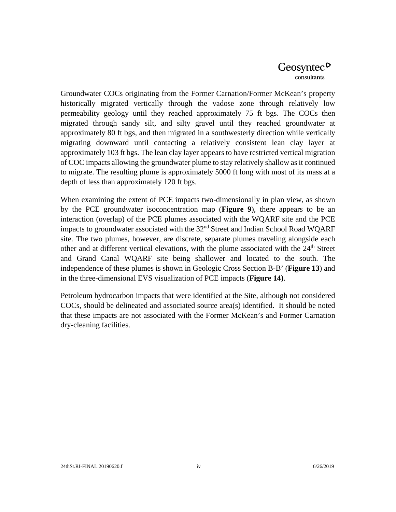Groundwater COCs originating from the Former Carnation/Former McKean's property historically migrated vertically through the vadose zone through relatively low permeability geology until they reached approximately 75 ft bgs. The COCs then migrated through sandy silt, and silty gravel until they reached groundwater at approximately 80 ft bgs, and then migrated in a southwesterly direction while vertically migrating downward until contacting a relatively consistent lean clay layer at approximately 103 ft bgs. The lean clay layer appears to have restricted vertical migration of COC impacts allowing the groundwater plume to stay relatively shallow as it continued to migrate. The resulting plume is approximately 5000 ft long with most of its mass at a depth of less than approximately 120 ft bgs.

When examining the extent of PCE impacts two-dimensionally in plan view, as shown by the PCE groundwater isoconcentration map (**Figure 9**), there appears to be an interaction (overlap) of the PCE plumes associated with the WQARF site and the PCE impacts to groundwater associated with the  $32<sup>nd</sup>$  Street and Indian School Road WQARF site. The two plumes, however, are discrete, separate plumes traveling alongside each other and at different vertical elevations, with the plume associated with the 24<sup>th</sup> Street and Grand Canal WQARF site being shallower and located to the south. The independence of these plumes is shown in Geologic Cross Section B-B' (**Figure 13**) and in the three-dimensional EVS visualization of PCE impacts (**Figure 14)**.

Petroleum hydrocarbon impacts that were identified at the Site, although not considered COCs, should be delineated and associated source area(s) identified. It should be noted that these impacts are not associated with the Former McKean's and Former Carnation dry-cleaning facilities.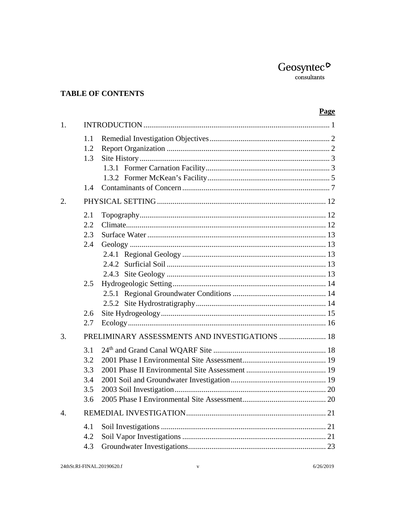## **TABLE OF CONTENTS**

## Page

| 1. |                                        |                                                       |  |
|----|----------------------------------------|-------------------------------------------------------|--|
|    | 1.1<br>1.2<br>1.3                      |                                                       |  |
|    | 1.4                                    |                                                       |  |
| 2. |                                        |                                                       |  |
|    | 2.1<br>2.2<br>2.3<br>2.4               |                                                       |  |
|    | 2.5<br>2.6<br>2.7                      |                                                       |  |
| 3. |                                        | <b>PRELIMINARY ASSESSMENTS AND INVESTIGATIONS  18</b> |  |
|    | 3.1<br>3.2<br>3.3<br>3.4<br>3.5<br>3.6 |                                                       |  |
| 4. |                                        |                                                       |  |
|    | 4.1<br>4.2<br>4.3                      |                                                       |  |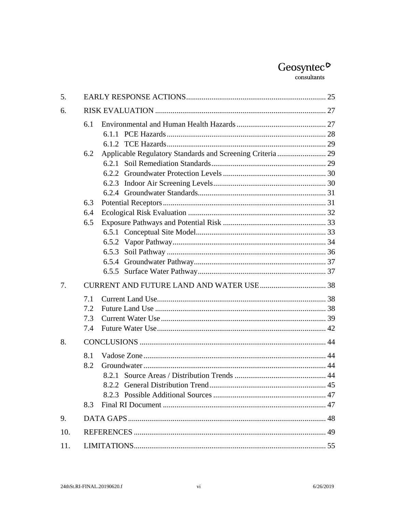## $\underset{\text{consultants}}{\text{Geosyntec}}$

| 5.  |     |                                                            |  |  |
|-----|-----|------------------------------------------------------------|--|--|
| 6.  |     |                                                            |  |  |
|     | 6.1 |                                                            |  |  |
|     |     |                                                            |  |  |
|     |     |                                                            |  |  |
|     | 6.2 | Applicable Regulatory Standards and Screening Criteria  29 |  |  |
|     |     |                                                            |  |  |
|     |     |                                                            |  |  |
|     |     |                                                            |  |  |
|     |     |                                                            |  |  |
|     | 6.3 |                                                            |  |  |
|     | 6.4 |                                                            |  |  |
|     | 6.5 |                                                            |  |  |
|     |     |                                                            |  |  |
|     |     |                                                            |  |  |
|     |     |                                                            |  |  |
|     |     |                                                            |  |  |
|     |     |                                                            |  |  |
| 7.  |     |                                                            |  |  |
|     | 7.1 |                                                            |  |  |
|     | 7.2 |                                                            |  |  |
|     | 7.3 |                                                            |  |  |
|     | 7.4 |                                                            |  |  |
| 8.  |     |                                                            |  |  |
|     | 8.1 |                                                            |  |  |
|     | 8.2 |                                                            |  |  |
|     |     |                                                            |  |  |
|     |     |                                                            |  |  |
|     |     |                                                            |  |  |
|     | 8.3 |                                                            |  |  |
| 9.  |     |                                                            |  |  |
| 10. |     |                                                            |  |  |
| 11. |     |                                                            |  |  |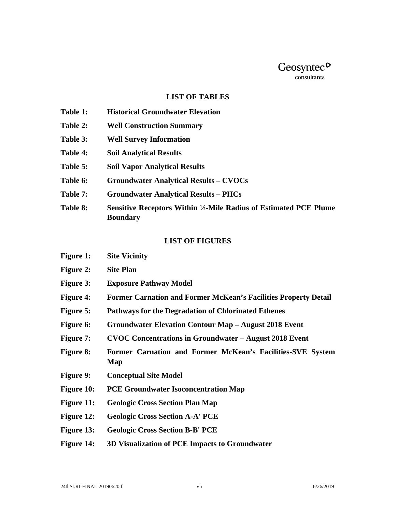#### **LIST OF TABLES**

- **Table 1: Historical Groundwater Elevation**
- **Table 2: Well Construction Summary**
- **Table 3: Well Survey Information**
- **Table 4: Soil Analytical Results**
- **Table 5: Soil Vapor Analytical Results**
- **Table 6: Groundwater Analytical Results CVOCs**
- **Table 7: Groundwater Analytical Results PHCs**
- **Table 8: Sensitive Receptors Within ½-Mile Radius of Estimated PCE Plume Boundary**

#### **LIST OF FIGURES**

| <b>Figure 1:</b>  | <b>Site Vicinity</b>                                                   |
|-------------------|------------------------------------------------------------------------|
| <b>Figure 2:</b>  | <b>Site Plan</b>                                                       |
| <b>Figure 3:</b>  | <b>Exposure Pathway Model</b>                                          |
| <b>Figure 4:</b>  | <b>Former Carnation and Former McKean's Facilities Property Detail</b> |
| <b>Figure 5:</b>  | <b>Pathways for the Degradation of Chlorinated Ethenes</b>             |
| <b>Figure 6:</b>  | <b>Groundwater Elevation Contour Map - August 2018 Event</b>           |
| <b>Figure 7:</b>  | <b>CVOC Concentrations in Groundwater – August 2018 Event</b>          |
| <b>Figure 8:</b>  | Former Carnation and Former McKean's Facilities-SVE System<br>Map      |
| <b>Figure 9:</b>  | <b>Conceptual Site Model</b>                                           |
| <b>Figure 10:</b> | <b>PCE Groundwater Isoconcentration Map</b>                            |
| <b>Figure 11:</b> | <b>Geologic Cross Section Plan Map</b>                                 |
| <b>Figure 12:</b> | <b>Geologic Cross Section A-A' PCE</b>                                 |
| <b>Figure 13:</b> | <b>Geologic Cross Section B-B' PCE</b>                                 |
| <b>Figure 14:</b> | 3D Visualization of PCE Impacts to Groundwater                         |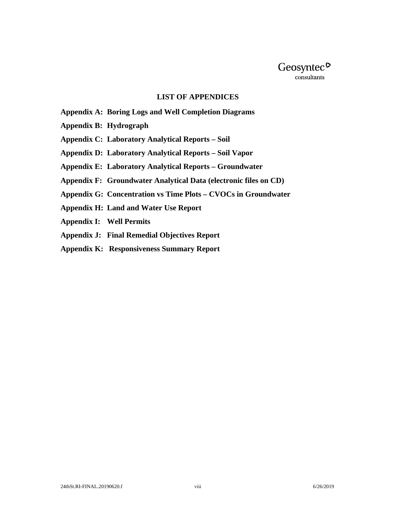

#### **LIST OF APPENDICES**

- **Appendix A: Boring Logs and Well Completion Diagrams**
- **Appendix B: Hydrograph**
- **Appendix C: Laboratory Analytical Reports Soil**
- **Appendix D: Laboratory Analytical Reports Soil Vapor**
- **Appendix E: Laboratory Analytical Reports Groundwater**
- **Appendix F: Groundwater Analytical Data (electronic files on CD)**
- **Appendix G: Concentration vs Time Plots CVOCs in Groundwater**
- **Appendix H: Land and Water Use Report**
- **Appendix I: Well Permits**
- **Appendix J: Final Remedial Objectives Report**
- **Appendix K: Responsiveness Summary Report**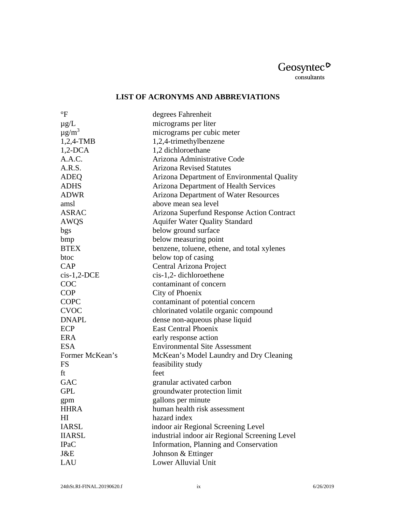## $\underset{\text{consultants}}{\text{Geosyntec}}$

## **LIST OF ACRONYMS AND ABBREVIATIONS**

| $\rm ^{\circ}F$        | degrees Fahrenheit                             |
|------------------------|------------------------------------------------|
| $\mu$ g/L              | micrograms per liter                           |
| $\mu$ g/m <sup>3</sup> | micrograms per cubic meter                     |
| $1,2,4$ -TMB           | 1,2,4-trimethylbenzene                         |
| $1,2$ -DCA             | 1,2 dichloroethane                             |
| A.A.C.                 | Arizona Administrative Code                    |
| A.R.S.                 | <b>Arizona Revised Statutes</b>                |
| <b>ADEQ</b>            | Arizona Department of Environmental Quality    |
| <b>ADHS</b>            | <b>Arizona Department of Health Services</b>   |
| <b>ADWR</b>            | Arizona Department of Water Resources          |
| amsl                   | above mean sea level                           |
| <b>ASRAC</b>           | Arizona Superfund Response Action Contract     |
| AWQS                   | <b>Aquifer Water Quality Standard</b>          |
| bgs                    | below ground surface                           |
| bmp                    | below measuring point                          |
| <b>BTEX</b>            | benzene, toluene, ethene, and total xylenes    |
| btoc                   | below top of casing                            |
| CAP                    | Central Arizona Project                        |
| $cis-1,2-DCE$          | cis-1,2-dichloroethene                         |
| COC                    | contaminant of concern                         |
| <b>COP</b>             | City of Phoenix                                |
| <b>COPC</b>            | contaminant of potential concern               |
| <b>CVOC</b>            | chlorinated volatile organic compound          |
| <b>DNAPL</b>           | dense non-aqueous phase liquid                 |
| ECP                    | <b>East Central Phoenix</b>                    |
| <b>ERA</b>             | early response action                          |
| <b>ESA</b>             | <b>Environmental Site Assessment</b>           |
| Former McKean's        | McKean's Model Laundry and Dry Cleaning        |
| <b>FS</b>              | feasibility study                              |
| ft                     | feet                                           |
| <b>GAC</b>             | granular activated carbon                      |
| <b>GPL</b>             | groundwater protection limit                   |
| gpm                    | gallons per minute                             |
| <b>HHRA</b>            | human health risk assessment                   |
| H <sub>I</sub>         | hazard index                                   |
| <b>IARSL</b>           | indoor air Regional Screening Level            |
| <b>IIARSL</b>          | industrial indoor air Regional Screening Level |
| <b>IPaC</b>            | Information, Planning and Conservation         |
| J&E                    | Johnson & Ettinger                             |
| <b>LAU</b>             | <b>Lower Alluvial Unit</b>                     |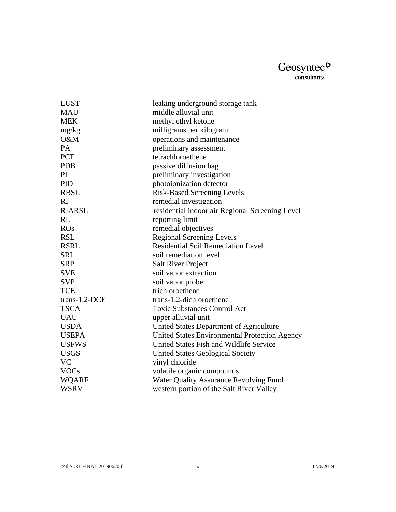| <b>LUST</b>     | leaking underground storage tank                |
|-----------------|-------------------------------------------------|
| <b>MAU</b>      | middle alluvial unit                            |
| <b>MEK</b>      | methyl ethyl ketone                             |
| mg/kg           | milligrams per kilogram                         |
| O&M             | operations and maintenance                      |
| <b>PA</b>       | preliminary assessment                          |
| <b>PCE</b>      | tetrachloroethene                               |
| <b>PDB</b>      | passive diffusion bag                           |
| PI              | preliminary investigation                       |
| PID             | photoionization detector                        |
| <b>RBSL</b>     | <b>Risk-Based Screening Levels</b>              |
| RI              | remedial investigation                          |
| <b>RIARSL</b>   | residential indoor air Regional Screening Level |
| RL              | reporting limit                                 |
| <b>ROs</b>      | remedial objectives                             |
| <b>RSL</b>      | <b>Regional Screening Levels</b>                |
| <b>RSRL</b>     | <b>Residential Soil Remediation Level</b>       |
| <b>SRL</b>      | soil remediation level                          |
| <b>SRP</b>      | <b>Salt River Project</b>                       |
| <b>SVE</b>      | soil vapor extraction                           |
| <b>SVP</b>      | soil vapor probe                                |
| <b>TCE</b>      | trichloroethene                                 |
| $trans-1,2-DCE$ | trans-1,2-dichloroethene                        |
| <b>TSCA</b>     | <b>Toxic Substances Control Act</b>             |
| <b>UAU</b>      | upper alluvial unit                             |
| <b>USDA</b>     | United States Department of Agriculture         |
| <b>USEPA</b>    | United States Environmental Protection Agency   |
| <b>USFWS</b>    | United States Fish and Wildlife Service         |
| <b>USGS</b>     | <b>United States Geological Society</b>         |
| <b>VC</b>       | vinyl chloride                                  |
| <b>VOCs</b>     | volatile organic compounds                      |
| <b>WQARF</b>    | <b>Water Quality Assurance Revolving Fund</b>   |
| <b>WSRV</b>     | western portion of the Salt River Valley        |
|                 |                                                 |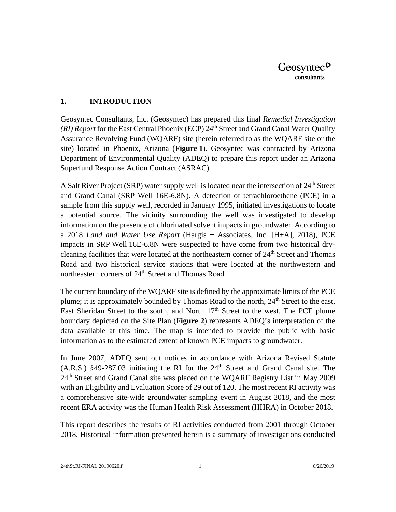#### <span id="page-11-0"></span>**1. INTRODUCTION**

Geosyntec Consultants, Inc. (Geosyntec) has prepared this final *Remedial Investigation (RI) Report* for the East Central Phoenix *(ECP)* 24<sup>th</sup> Street and Grand Canal Water Quality Assurance Revolving Fund (WQARF) site (herein referred to as the WQARF site or the site) located in Phoenix, Arizona (**Figure 1**). Geosyntec was contracted by Arizona Department of Environmental Quality (ADEQ) to prepare this report under an Arizona Superfund Response Action Contract (ASRAC).

A Salt River Project (SRP) water supply well is located near the intersection of  $24<sup>th</sup>$  Street and Grand Canal (SRP Well 16E-6.8N). A detection of tetrachloroethene (PCE) in a sample from this supply well, recorded in January 1995, initiated investigations to locate a potential source. The vicinity surrounding the well was investigated to develop information on the presence of chlorinated solvent impacts in groundwater. According to a 2018 *Land and Water Use Report* (Hargis + Associates, Inc. [H+A], 2018), PCE impacts in SRP Well 16E-6.8N were suspected to have come from two historical drycleaning facilities that were located at the northeastern corner of  $24<sup>th</sup>$  Street and Thomas Road and two historical service stations that were located at the northwestern and northeastern corners of 24<sup>th</sup> Street and Thomas Road.

The current boundary of the WQARF site is defined by the approximate limits of the PCE plume; it is approximately bounded by Thomas Road to the north, 24<sup>th</sup> Street to the east, East Sheridan Street to the south, and North  $17<sup>th</sup>$  Street to the west. The PCE plume boundary depicted on the Site Plan (**Figure 2**) represents ADEQ's interpretation of the data available at this time. The map is intended to provide the public with basic information as to the estimated extent of known PCE impacts to groundwater.

In June 2007, ADEQ sent out notices in accordance with Arizona Revised Statute  $(A.R.S.)$  §49-287.03 initiating the RI for the  $24<sup>th</sup>$  Street and Grand Canal site. The 24<sup>th</sup> Street and Grand Canal site was placed on the WQARF Registry List in May 2009 with an Eligibility and Evaluation Score of 29 out of 120. The most recent RI activity was a comprehensive site-wide groundwater sampling event in August 2018, and the most recent ERA activity was the Human Health Risk Assessment (HHRA) in October 2018.

This report describes the results of RI activities conducted from 2001 through October 2018. Historical information presented herein is a summary of investigations conducted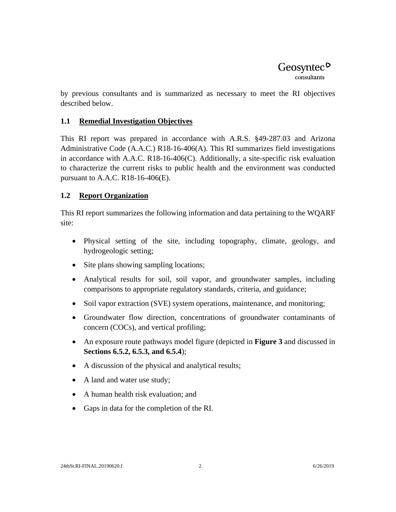by previous consultants and is summarized as necessary to meet the RI objectives described below.

## <span id="page-12-0"></span>**1.1 Remedial Investigation Objectives**

This RI report was prepared in accordance with A.R.S. §49-287.03 and Arizona Administrative Code (A.A.C.) R18-16-406(A). This RI summarizes field investigations in accordance with A.A.C. R18-16-406(C). Additionally, a site-specific risk evaluation to characterize the current risks to public health and the environment was conducted pursuant to A.A.C. R18-16-406(E).

## <span id="page-12-1"></span>**1.2 Report Organization**

This RI report summarizes the following information and data pertaining to the WQARF site:

- Physical setting of the site, including topography, climate, geology, and hydrogeologic setting;
- Site plans showing sampling locations;
- Analytical results for soil, soil vapor, and groundwater samples, including comparisons to appropriate regulatory standards, criteria, and guidance;
- Soil vapor extraction (SVE) system operations, maintenance, and monitoring;
- Groundwater flow direction, concentrations of groundwater contaminants of concern (COCs), and vertical profiling;
- An exposure route pathways model figure (depicted in **Figure 3** and discussed in **Sections 6.5.2, 6.5.3, and 6.5.4**);
- A discussion of the physical and analytical results;
- A land and water use study;
- A human health risk evaluation; and
- Gaps in data for the completion of the RI.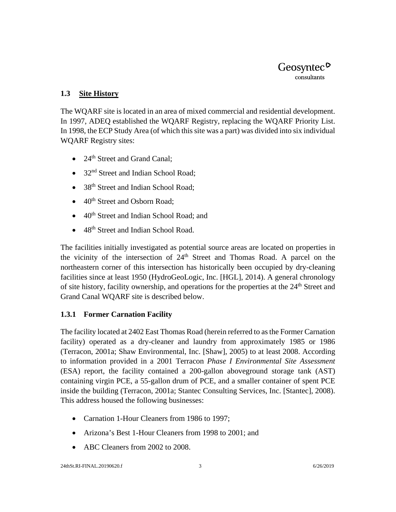#### <span id="page-13-0"></span>**1.3 Site History**

The WQARF site is located in an area of mixed commercial and residential development. In 1997, ADEQ established the WQARF Registry, replacing the WQARF Priority List. In 1998, the ECP Study Area (of which this site was a part) was divided into six individual WQARF Registry sites:

- 24<sup>th</sup> Street and Grand Canal:
- 32<sup>nd</sup> Street and Indian School Road:
- 38<sup>th</sup> Street and Indian School Road;
- $\bullet$  40<sup>th</sup> Street and Osborn Road:
- 40th Street and Indian School Road; and
- 48<sup>th</sup> Street and Indian School Road.

The facilities initially investigated as potential source areas are located on properties in the vicinity of the intersection of  $24<sup>th</sup>$  Street and Thomas Road. A parcel on the northeastern corner of this intersection has historically been occupied by dry-cleaning facilities since at least 1950 (HydroGeoLogic, Inc. [HGL], 2014). A general chronology of site history, facility ownership, and operations for the properties at the  $24<sup>th</sup>$  Street and Grand Canal WQARF site is described below.

## <span id="page-13-1"></span>**1.3.1 Former Carnation Facility**

The facility located at 2402 East Thomas Road (herein referred to as the Former Carnation facility) operated as a dry-cleaner and laundry from approximately 1985 or 1986 (Terracon, 2001a; Shaw Environmental, Inc. [Shaw], 2005) to at least 2008. According to information provided in a 2001 Terracon *Phase I Environmental Site Assessment*  (ESA) report, the facility contained a 200-gallon aboveground storage tank (AST) containing virgin PCE, a 55-gallon drum of PCE, and a smaller container of spent PCE inside the building (Terracon, 2001a; Stantec Consulting Services, Inc. [Stantec], 2008). This address housed the following businesses:

- Carnation 1-Hour Cleaners from 1986 to 1997;
- Arizona's Best 1-Hour Cleaners from 1998 to 2001; and
- ABC Cleaners from 2002 to 2008.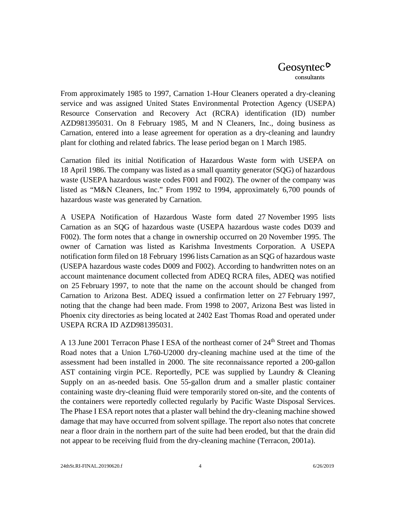From approximately 1985 to 1997, Carnation 1-Hour Cleaners operated a dry-cleaning service and was assigned United States Environmental Protection Agency (USEPA) Resource Conservation and Recovery Act (RCRA) identification (ID) number AZD981395031. On 8 February 1985, M and N Cleaners, Inc., doing business as Carnation, entered into a lease agreement for operation as a dry-cleaning and laundry plant for clothing and related fabrics. The lease period began on 1 March 1985.

Carnation filed its initial Notification of Hazardous Waste form with USEPA on 18 April 1986. The company was listed as a small quantity generator (SQG) of hazardous waste (USEPA hazardous waste codes F001 and F002). The owner of the company was listed as "M&N Cleaners, Inc." From 1992 to 1994, approximately 6,700 pounds of hazardous waste was generated by Carnation.

A USEPA Notification of Hazardous Waste form dated 27 November 1995 lists Carnation as an SQG of hazardous waste (USEPA hazardous waste codes D039 and F002). The form notes that a change in ownership occurred on 20 November 1995. The owner of Carnation was listed as Karishma Investments Corporation. A USEPA notification form filed on 18 February 1996 lists Carnation as an SQG of hazardous waste (USEPA hazardous waste codes D009 and F002). According to handwritten notes on an account maintenance document collected from ADEQ RCRA files, ADEQ was notified on 25 February 1997, to note that the name on the account should be changed from Carnation to Arizona Best. ADEQ issued a confirmation letter on 27 February 1997, noting that the change had been made. From 1998 to 2007, Arizona Best was listed in Phoenix city directories as being located at 2402 East Thomas Road and operated under USEPA RCRA ID AZD981395031.

A 13 June 2001 Terracon Phase I ESA of the northeast corner of 24<sup>th</sup> Street and Thomas Road notes that a Union L760-U2000 dry-cleaning machine used at the time of the assessment had been installed in 2000. The site reconnaissance reported a 200-gallon AST containing virgin PCE. Reportedly, PCE was supplied by Laundry & Cleaning Supply on an as-needed basis. One 55-gallon drum and a smaller plastic container containing waste dry-cleaning fluid were temporarily stored on-site, and the contents of the containers were reportedly collected regularly by Pacific Waste Disposal Services. The Phase I ESA report notes that a plaster wall behind the dry-cleaning machine showed damage that may have occurred from solvent spillage. The report also notes that concrete near a floor drain in the northern part of the suite had been eroded, but that the drain did not appear to be receiving fluid from the dry-cleaning machine (Terracon, 2001a).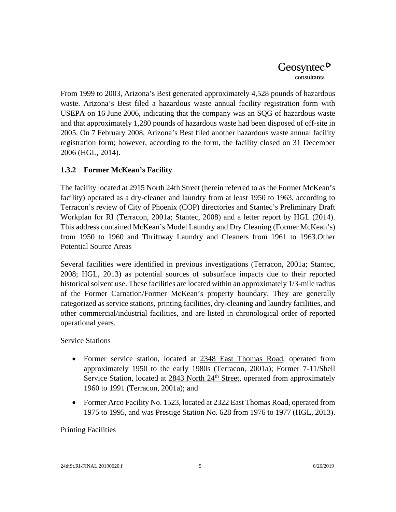From 1999 to 2003, Arizona's Best generated approximately 4,528 pounds of hazardous waste. Arizona's Best filed a hazardous waste annual facility registration form with USEPA on 16 June 2006, indicating that the company was an SQG of hazardous waste and that approximately 1,280 pounds of hazardous waste had been disposed of off-site in 2005. On 7 February 2008, Arizona's Best filed another hazardous waste annual facility registration form; however, according to the form, the facility closed on 31 December 2006 (HGL, 2014).

## <span id="page-15-0"></span>**1.3.2 Former McKean's Facility**

The facility located at 2915 North 24th Street (herein referred to as the Former McKean's facility) operated as a dry-cleaner and laundry from at least 1950 to 1963, according to Terracon's review of City of Phoenix (COP) directories and Stantec's Preliminary Draft Workplan for RI (Terracon, 2001a; Stantec, 2008) and a letter report by HGL (2014). This address contained McKean's Model Laundry and Dry Cleaning (Former McKean's) from 1950 to 1960 and Thriftway Laundry and Cleaners from 1961 to 1963.Other Potential Source Areas

Several facilities were identified in previous investigations (Terracon, 2001a; Stantec, 2008; HGL, 2013) as potential sources of subsurface impacts due to their reported historical solvent use. These facilities are located within an approximately 1/3-mile radius of the Former Carnation/Former McKean's property boundary. They are generally categorized as service stations, printing facilities, dry-cleaning and laundry facilities, and other commercial/industrial facilities, and are listed in chronological order of reported operational years.

Service Stations

- Former service station, located at 2348 East Thomas Road, operated from approximately 1950 to the early 1980s (Terracon, 2001a); Former 7-11/Shell Service Station, located at  $2843$  North  $24<sup>th</sup>$  Street, operated from approximately 1960 to 1991 (Terracon, 2001a); and
- Former Arco Facility No. 1523, located at 2322 East Thomas Road, operated from 1975 to 1995, and was Prestige Station No. 628 from 1976 to 1977 (HGL, 2013).

## Printing Facilities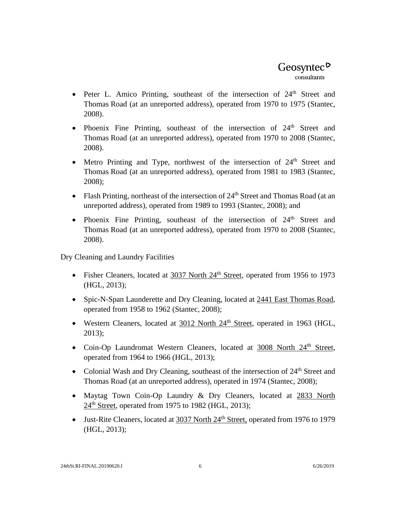- Peter L. Amico Printing, southeast of the intersection of  $24<sup>th</sup>$  Street and Thomas Road (at an unreported address), operated from 1970 to 1975 (Stantec, 2008).
- Phoenix Fine Printing, southeast of the intersection of  $24<sup>th</sup>$  Street and Thomas Road (at an unreported address), operated from 1970 to 2008 (Stantec, 2008).
- Metro Printing and Type, northwest of the intersection of  $24<sup>th</sup>$  Street and Thomas Road (at an unreported address), operated from 1981 to 1983 (Stantec, 2008);
- Flash Printing, northeast of the intersection of  $24<sup>th</sup>$  Street and Thomas Road (at an unreported address), operated from 1989 to 1993 (Stantec, 2008); and
- Phoenix Fine Printing, southeast of the intersection of  $24<sup>th</sup>$  Street and Thomas Road (at an unreported address), operated from 1970 to 2008 (Stantec, 2008).

Dry Cleaning and Laundry Facilities

- Fisher Cleaners, located at 3037 North 24<sup>th</sup> Street, operated from 1956 to 1973 (HGL, 2013);
- Spic-N-Span Launderette and Dry Cleaning, located at 2441 East Thomas Road, operated from 1958 to 1962 (Stantec, 2008);
- Western Cleaners, located at 3012 North 24<sup>th</sup> Street, operated in 1963 (HGL, 2013);
- Coin-Op Laundromat Western Cleaners, located at 3008 North 24<sup>th</sup> Street, operated from 1964 to 1966 (HGL, 2013);
- Colonial Wash and Dry Cleaning, southeast of the intersection of  $24<sup>th</sup>$  Street and Thomas Road (at an unreported address), operated in 1974 (Stantec, 2008);
- Maytag Town Coin-Op Laundry & Dry Cleaners, located at 2833 North  $24<sup>th</sup>$  Street, operated from 1975 to 1982 (HGL, 2013);
- Just-Rite Cleaners, located at 3037 North 24<sup>th</sup> Street, operated from 1976 to 1979 (HGL, 2013);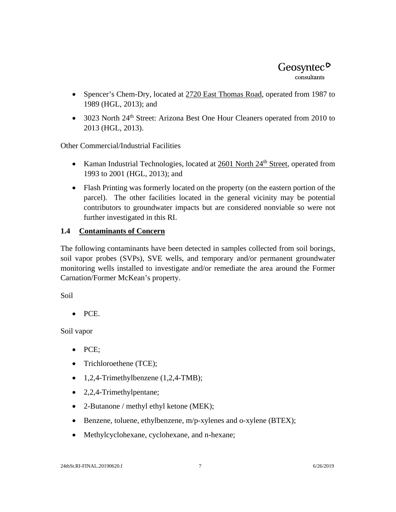- Spencer's Chem-Dry, located at  $2720$  East Thomas Road, operated from 1987 to 1989 (HGL, 2013); and
- 3023 North 24<sup>th</sup> Street: Arizona Best One Hour Cleaners operated from 2010 to 2013 (HGL, 2013).

Other Commercial/Industrial Facilities

- Kaman Industrial Technologies, located at 2601 North 24<sup>th</sup> Street, operated from 1993 to 2001 (HGL, 2013); and
- Flash Printing was formerly located on the property (on the eastern portion of the parcel). The other facilities located in the general vicinity may be potential contributors to groundwater impacts but are considered nonviable so were not further investigated in this RI.

## <span id="page-17-0"></span>**1.4 Contaminants of Concern**

The following contaminants have been detected in samples collected from soil borings, soil vapor probes (SVPs), SVE wells, and temporary and/or permanent groundwater monitoring wells installed to investigate and/or remediate the area around the Former Carnation/Former McKean's property.

Soil

• PCE.

Soil vapor

- PCE;
- Trichloroethene (TCE);
- $1,2,4$ -Trimethylbenzene  $(1,2,4$ -TMB);
- 2,2,4-Trimethylpentane;
- 2-Butanone / methyl ethyl ketone (MEK);
- Benzene, toluene, ethylbenzene, m/p-xylenes and o-xylene (BTEX);
- Methylcyclohexane, cyclohexane, and n-hexane;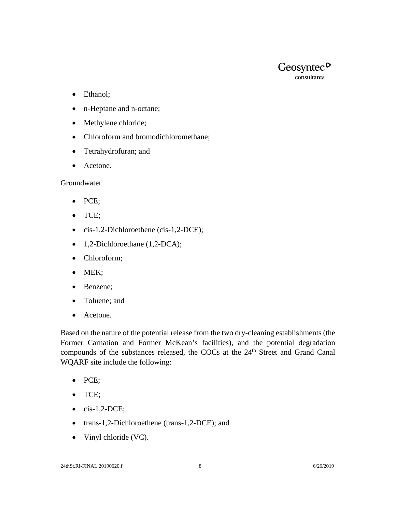

- Ethanol;
- n-Heptane and n-octane;
- Methylene chloride;
- Chloroform and bromodichloromethane;
- Tetrahydrofuran; and
- Acetone.

Groundwater

- PCE;
- TCE;
- cis-1,2-Dichloroethene (cis-1,2-DCE);
- 1,2-Dichloroethane (1,2-DCA);
- Chloroform;
- MEK;
- Benzene;
- Toluene; and
- Acetone.

Based on the nature of the potential release from the two dry-cleaning establishments (the Former Carnation and Former McKean's facilities), and the potential degradation compounds of the substances released, the COCs at the 24<sup>th</sup> Street and Grand Canal WQARF site include the following:

- PCE;
- TCE;
- $\bullet$  cis-1,2-DCE;
- trans-1,2-Dichloroethene (trans-1,2-DCE); and
- Vinyl chloride (VC).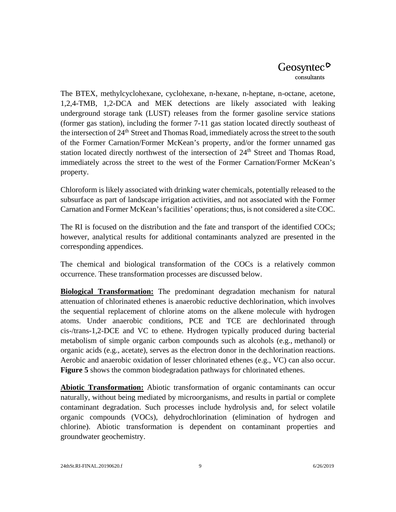The BTEX, methylcyclohexane, cyclohexane, n-hexane, n-heptane, n-octane, acetone, 1,2,4-TMB, 1,2-DCA and MEK detections are likely associated with leaking underground storage tank (LUST) releases from the former gasoline service stations (former gas station), including the former 7-11 gas station located directly southeast of the intersection of 24<sup>th</sup> Street and Thomas Road, immediately across the street to the south of the Former Carnation/Former McKean's property, and/or the former unnamed gas station located directly northwest of the intersection of  $24<sup>th</sup>$  Street and Thomas Road, immediately across the street to the west of the Former Carnation/Former McKean's property.

Chloroform is likely associated with drinking water chemicals, potentially released to the subsurface as part of landscape irrigation activities, and not associated with the Former Carnation and Former McKean's facilities' operations; thus, is not considered a site COC.

The RI is focused on the distribution and the fate and transport of the identified COCs; however, analytical results for additional contaminants analyzed are presented in the corresponding appendices.

The chemical and biological transformation of the COCs is a relatively common occurrence. These transformation processes are discussed below.

**Biological Transformation:** The predominant degradation mechanism for natural attenuation of chlorinated ethenes is anaerobic reductive dechlorination, which involves the sequential replacement of chlorine atoms on the alkene molecule with hydrogen atoms. Under anaerobic conditions, PCE and TCE are dechlorinated through cis-/trans-1,2-DCE and VC to ethene. Hydrogen typically produced during bacterial metabolism of simple organic carbon compounds such as alcohols (e.g., methanol) or organic acids (e.g., acetate), serves as the electron donor in the dechlorination reactions. Aerobic and anaerobic oxidation of lesser chlorinated ethenes (e.g., VC) can also occur. **Figure 5** shows the common biodegradation pathways for chlorinated ethenes.

**Abiotic Transformation:** Abiotic transformation of organic contaminants can occur naturally, without being mediated by microorganisms, and results in partial or complete contaminant degradation. Such processes include hydrolysis and, for select volatile organic compounds (VOCs), dehydrochlorination (elimination of hydrogen and chlorine). Abiotic transformation is dependent on contaminant properties and groundwater geochemistry.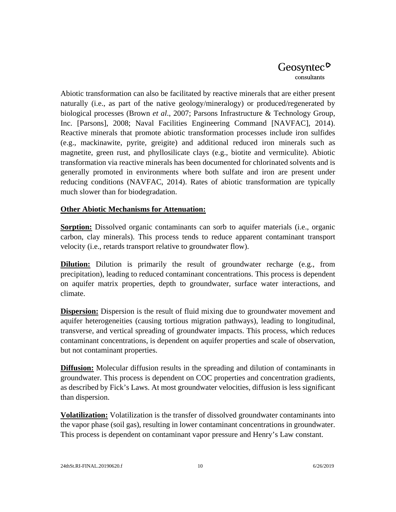Abiotic transformation can also be facilitated by reactive minerals that are either present naturally (i.e., as part of the native geology/mineralogy) or produced/regenerated by biological processes (Brown *et al*., 2007; Parsons Infrastructure & Technology Group, Inc. [Parsons], 2008; Naval Facilities Engineering Command [NAVFAC], 2014). Reactive minerals that promote abiotic transformation processes include iron sulfides (e.g., mackinawite, pyrite, greigite) and additional reduced iron minerals such as magnetite, green rust, and phyllosilicate clays (e.g., biotite and vermiculite). Abiotic transformation via reactive minerals has been documented for chlorinated solvents and is generally promoted in environments where both sulfate and iron are present under reducing conditions (NAVFAC, 2014). Rates of abiotic transformation are typically much slower than for biodegradation.

#### **Other Abiotic Mechanisms for Attenuation:**

**Sorption:** Dissolved organic contaminants can sorb to aquifer materials (i.e., organic carbon, clay minerals). This process tends to reduce apparent contaminant transport velocity (i.e., retards transport relative to groundwater flow).

**Dilution:** Dilution is primarily the result of groundwater recharge (e.g., from precipitation), leading to reduced contaminant concentrations. This process is dependent on aquifer matrix properties, depth to groundwater, surface water interactions, and climate.

**Dispersion:** Dispersion is the result of fluid mixing due to groundwater movement and aquifer heterogeneities (causing tortious migration pathways), leading to longitudinal, transverse, and vertical spreading of groundwater impacts. This process, which reduces contaminant concentrations, is dependent on aquifer properties and scale of observation, but not contaminant properties.

**Diffusion:** Molecular diffusion results in the spreading and dilution of contaminants in groundwater. This process is dependent on COC properties and concentration gradients, as described by Fick's Laws. At most groundwater velocities, diffusion is less significant than dispersion.

**Volatilization:** Volatilization is the transfer of dissolved groundwater contaminants into the vapor phase (soil gas), resulting in lower contaminant concentrations in groundwater. This process is dependent on contaminant vapor pressure and Henry's Law constant.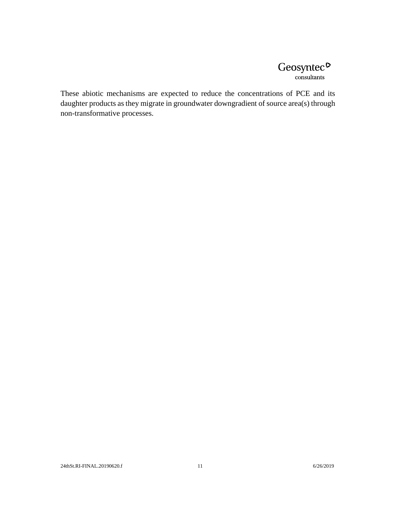## $Geosyntec$ <sup> $\circ$ </sup> consultants

These abiotic mechanisms are expected to reduce the concentrations of PCE and its daughter products as they migrate in groundwater downgradient of source area(s) through non-transformative processes.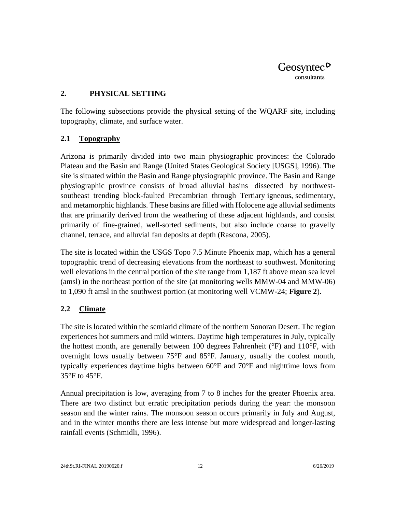#### <span id="page-22-0"></span>**2. PHYSICAL SETTING**

The following subsections provide the physical setting of the WQARF site, including topography, climate, and surface water.

## <span id="page-22-1"></span>**2.1 Topography**

Arizona is primarily divided into two main physiographic provinces: the Colorado Plateau and the Basin and Range (United States Geological Society [USGS], 1996). The site is situated within the Basin and Range physiographic province. The Basin and Range physiographic province consists of broad alluvial basins dissected by northwestsoutheast trending block-faulted Precambrian through Tertiary igneous, sedimentary, and metamorphic highlands. These basins are filled with Holocene age alluvial sediments that are primarily derived from the weathering of these adjacent highlands, and consist primarily of fine-grained, well-sorted sediments, but also include coarse to gravelly channel, terrace, and alluvial fan deposits at depth (Rascona, 2005).

The site is located within the USGS Topo 7.5 Minute Phoenix map, which has a general topographic trend of decreasing elevations from the northeast to southwest. Monitoring well elevations in the central portion of the site range from 1,187 ft above mean sea level (amsl) in the northeast portion of the site (at monitoring wells MMW-04 and MMW-06) to 1,090 ft amsl in the southwest portion (at monitoring well VCMW-24; **Figure 2**).

## <span id="page-22-2"></span>**2.2 Climate**

The site is located within the semiarid climate of the northern Sonoran Desert. The region experiences hot summers and mild winters. Daytime high temperatures in July, typically the hottest month, are generally between 100 degrees Fahrenheit (°F) and 110°F, with overnight lows usually between 75°F and 85°F. January, usually the coolest month, typically experiences daytime highs between 60°F and 70°F and nighttime lows from 35°F to 45°F.

Annual precipitation is low, averaging from 7 to 8 inches for the greater Phoenix area. There are two distinct but erratic precipitation periods during the year: the monsoon season and the winter rains. The monsoon season occurs primarily in July and August, and in the winter months there are less intense but more widespread and longer-lasting rainfall events (Schmidli, 1996).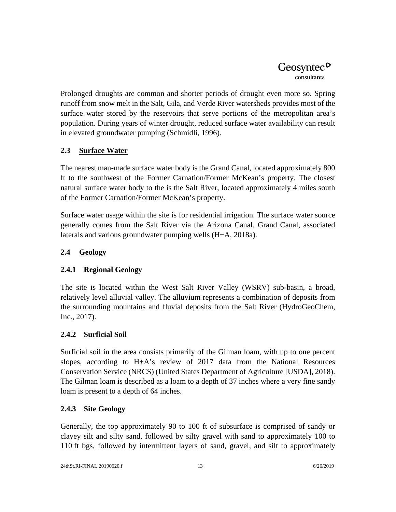Prolonged droughts are common and shorter periods of drought even more so. Spring runoff from snow melt in the Salt, Gila, and Verde River watersheds provides most of the surface water stored by the reservoirs that serve portions of the metropolitan area's population. During years of winter drought, reduced surface water availability can result in elevated groundwater pumping (Schmidli, 1996).

## <span id="page-23-0"></span>**2.3 Surface Water**

The nearest man-made surface water body is the Grand Canal, located approximately 800 ft to the southwest of the Former Carnation/Former McKean's property. The closest natural surface water body to the is the Salt River, located approximately 4 miles south of the Former Carnation/Former McKean's property.

Surface water usage within the site is for residential irrigation. The surface water source generally comes from the Salt River via the Arizona Canal, Grand Canal, associated laterals and various groundwater pumping wells (H+A, 2018a).

## <span id="page-23-1"></span>**2.4 Geology**

## <span id="page-23-2"></span>**2.4.1 Regional Geology**

The site is located within the West Salt River Valley (WSRV) sub-basin, a broad, relatively level alluvial valley. The alluvium represents a combination of deposits from the surrounding mountains and fluvial deposits from the Salt River (HydroGeoChem, Inc., 2017).

## <span id="page-23-3"></span>**2.4.2 Surficial Soil**

Surficial soil in the area consists primarily of the Gilman loam, with up to one percent slopes, according to  $H+A$ 's review of 2017 data from the National Resources Conservation Service (NRCS) (United States Department of Agriculture [USDA], 2018). The Gilman loam is described as a loam to a depth of 37 inches where a very fine sandy loam is present to a depth of 64 inches.

## <span id="page-23-4"></span>**2.4.3 Site Geology**

Generally, the top approximately 90 to 100 ft of subsurface is comprised of sandy or clayey silt and silty sand, followed by silty gravel with sand to approximately 100 to 110 ft bgs, followed by intermittent layers of sand, gravel, and silt to approximately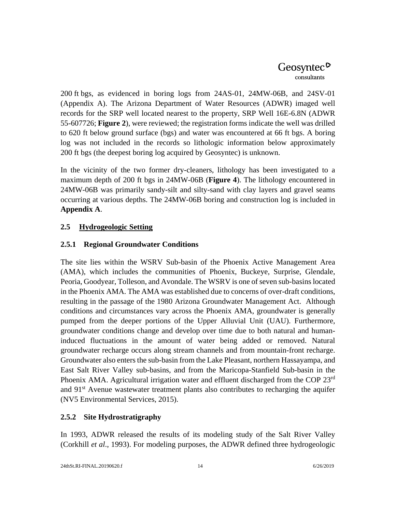200 ft bgs, as evidenced in boring logs from 24AS-01, 24MW-06B, and 24SV-01 (Appendix A). The Arizona Department of Water Resources (ADWR) imaged well records for the SRP well located nearest to the property, SRP Well 16E-6.8N (ADWR 55-607726; **Figure 2**), were reviewed; the registration forms indicate the well was drilled to 620 ft below ground surface (bgs) and water was encountered at 66 ft bgs. A boring log was not included in the records so lithologic information below approximately 200 ft bgs (the deepest boring log acquired by Geosyntec) is unknown.

In the vicinity of the two former dry-cleaners, lithology has been investigated to a maximum depth of 200 ft bgs in 24MW-06B (**Figure 4**). The lithology encountered in 24MW-06B was primarily sandy-silt and silty-sand with clay layers and gravel seams occurring at various depths. The 24MW-06B boring and construction log is included in **Appendix A**.

## <span id="page-24-0"></span>**2.5 Hydrogeologic Setting**

## <span id="page-24-1"></span>**2.5.1 Regional Groundwater Conditions**

The site lies within the WSRV Sub-basin of the Phoenix Active Management Area (AMA), which includes the communities of Phoenix, Buckeye, Surprise, Glendale, Peoria, Goodyear, Tolleson, and Avondale. The WSRV is one of seven sub-basins located in the Phoenix AMA. The AMA was established due to concerns of over-draft conditions, resulting in the passage of the 1980 Arizona Groundwater Management Act. Although conditions and circumstances vary across the Phoenix AMA, groundwater is generally pumped from the deeper portions of the Upper Alluvial Unit (UAU). Furthermore, groundwater conditions change and develop over time due to both natural and humaninduced fluctuations in the amount of water being added or removed. Natural groundwater recharge occurs along stream channels and from mountain-front recharge. Groundwater also enters the sub-basin from the Lake Pleasant, northern Hassayampa, and East Salt River Valley sub-basins, and from the Maricopa-Stanfield Sub-basin in the Phoenix AMA. Agricultural irrigation water and effluent discharged from the COP 23<sup>rd</sup> and 91<sup>st</sup> Avenue wastewater treatment plants also contributes to recharging the aquifer (NV5 Environmental Services, 2015).

## <span id="page-24-2"></span>**2.5.2 Site Hydrostratigraphy**

In 1993, ADWR released the results of its modeling study of the Salt River Valley (Corkhill *et al*., 1993). For modeling purposes, the ADWR defined three hydrogeologic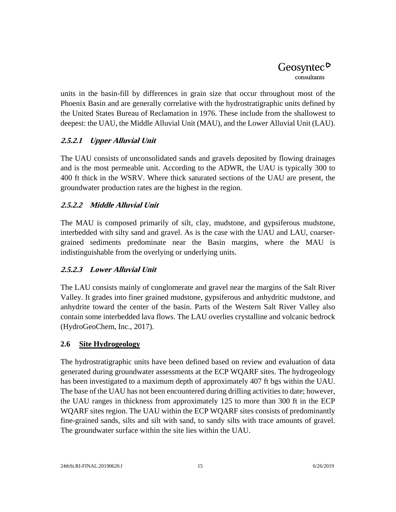units in the basin-fill by differences in grain size that occur throughout most of the Phoenix Basin and are generally correlative with the hydrostratigraphic units defined by the United States Bureau of Reclamation in 1976. These include from the shallowest to deepest: the UAU, the Middle Alluvial Unit (MAU), and the Lower Alluvial Unit (LAU).

## **2.5.2.1 Upper Alluvial Unit**

The UAU consists of unconsolidated sands and gravels deposited by flowing drainages and is the most permeable unit. According to the ADWR, the UAU is typically 300 to 400 ft thick in the WSRV. Where thick saturated sections of the UAU are present, the groundwater production rates are the highest in the region.

## **2.5.2.2 Middle Alluvial Unit**

The MAU is composed primarily of silt, clay, mudstone, and gypsiferous mudstone, interbedded with silty sand and gravel. As is the case with the UAU and LAU, coarsergrained sediments predominate near the Basin margins, where the MAU is indistinguishable from the overlying or underlying units.

## **2.5.2.3 Lower Alluvial Unit**

The LAU consists mainly of conglomerate and gravel near the margins of the Salt River Valley. It grades into finer grained mudstone, gypsiferous and anhydritic mudstone, and anhydrite toward the center of the basin. Parts of the Western Salt River Valley also contain some interbedded lava flows. The LAU overlies crystalline and volcanic bedrock (HydroGeoChem, Inc., 2017).

## <span id="page-25-0"></span>**2.6 Site Hydrogeology**

The hydrostratigraphic units have been defined based on review and evaluation of data generated during groundwater assessments at the ECP WQARF sites. The hydrogeology has been investigated to a maximum depth of approximately 407 ft bgs within the UAU. The base of the UAU has not been encountered during drilling activities to date; however, the UAU ranges in thickness from approximately 125 to more than 300 ft in the ECP WQARF sites region. The UAU within the ECP WQARF sites consists of predominantly fine-grained sands, silts and silt with sand, to sandy silts with trace amounts of gravel. The groundwater surface within the site lies within the UAU.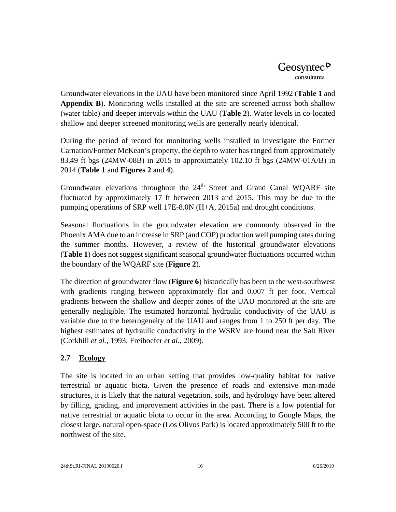Groundwater elevations in the UAU have been monitored since April 1992 (**Table 1** and **Appendix B**). Monitoring wells installed at the site are screened across both shallow (water table) and deeper intervals within the UAU (**Table 2**). Water levels in co-located shallow and deeper screened monitoring wells are generally nearly identical.

During the period of record for monitoring wells installed to investigate the Former Carnation/Former McKean's property, the depth to water has ranged from approximately 83.49 ft bgs (24MW-08B) in 2015 to approximately 102.10 ft bgs (24MW-01A/B) in 2014 (**Table 1** and **Figures 2** and **4**).

Groundwater elevations throughout the 24<sup>th</sup> Street and Grand Canal WOARF site fluctuated by approximately 17 ft between 2013 and 2015. This may be due to the pumping operations of SRP well 17E-8.0N (H+A, 2015a) and drought conditions.

Seasonal fluctuations in the groundwater elevation are commonly observed in the Phoenix AMA due to an increase in SRP (and COP) production well pumping rates during the summer months. However, a review of the historical groundwater elevations (**Table 1**) does not suggest significant seasonal groundwater fluctuations occurred within the boundary of the WQARF site (**Figure 2**).

The direction of groundwater flow (**Figure 6**) historically has been to the west-southwest with gradients ranging between approximately flat and 0.007 ft per foot. Vertical gradients between the shallow and deeper zones of the UAU monitored at the site are generally negligible. The estimated horizontal hydraulic conductivity of the UAU is variable due to the heterogeneity of the UAU and ranges from 1 to 250 ft per day. The highest estimates of hydraulic conductivity in the WSRV are found near the Salt River (Corkhill *et al.*, 1993; Freihoefer *et al.*, 2009).

## <span id="page-26-0"></span>**2.7 Ecology**

The site is located in an urban setting that provides low-quality habitat for native terrestrial or aquatic biota. Given the presence of roads and extensive man-made structures, it is likely that the natural vegetation, soils, and hydrology have been altered by filling, grading, and improvement activities in the past. There is a low potential for native terrestrial or aquatic biota to occur in the area. According to Google Maps, the closest large, natural open-space (Los Olivos Park) is located approximately 500 ft to the northwest of the site.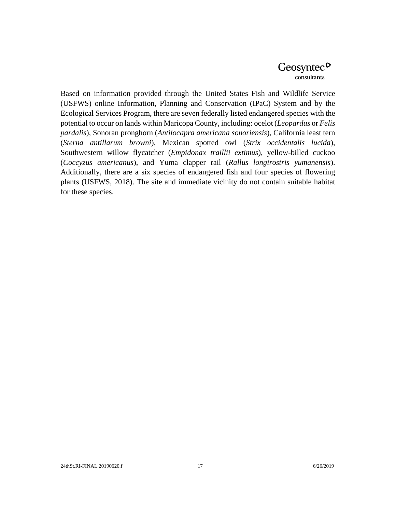Based on information provided through the United States Fish and Wildlife Service (USFWS) online Information, Planning and Conservation (IPaC) System and by the Ecological Services Program, there are seven federally listed endangered species with the potential to occur on lands within Maricopa County, including: ocelot (*Leopardus* or *Felis pardalis*), Sonoran pronghorn (*Antilocapra americana sonoriensis*), California least tern (*Sterna antillarum browni*), Mexican spotted owl (*Strix occidentalis lucida*), Southwestern willow flycatcher (*Empidonax traillii extimus*), yellow-billed cuckoo (*Coccyzus americanus*), and Yuma clapper rail (*Rallus longirostris yumanensis*). Additionally, there are a six species of endangered fish and four species of flowering plants (USFWS, 2018). The site and immediate vicinity do not contain suitable habitat for these species.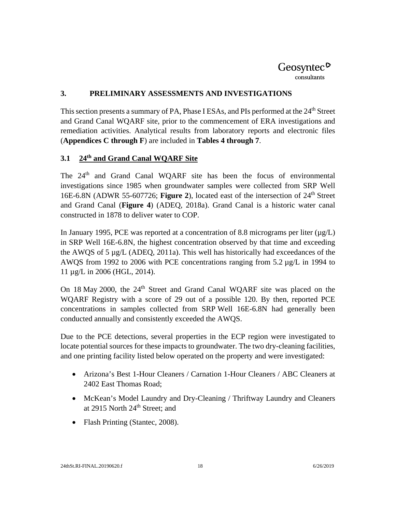#### <span id="page-28-0"></span>**3. PRELIMINARY ASSESSMENTS AND INVESTIGATIONS**

This section presents a summary of PA, Phase I ESAs, and PIs performed at the 24<sup>th</sup> Street and Grand Canal WQARF site, prior to the commencement of ERA investigations and remediation activities. Analytical results from laboratory reports and electronic files (**Appendices C through F**) are included in **Tables 4 through 7**.

#### <span id="page-28-1"></span>**3.1 24th and Grand Canal WQARF Site**

The 24<sup>th</sup> and Grand Canal WQARF site has been the focus of environmental investigations since 1985 when groundwater samples were collected from SRP Well 16E-6.8N (ADWR 55-607726; **Figure 2**), located east of the intersection of 24<sup>th</sup> Street and Grand Canal (**Figure 4**) (ADEQ, 2018a). Grand Canal is a historic water canal constructed in 1878 to deliver water to COP.

In January 1995, PCE was reported at a concentration of 8.8 micrograms per liter  $(\mu g/L)$ in SRP Well 16E-6.8N, the highest concentration observed by that time and exceeding the AWQS of 5 µg/L (ADEQ, 2011a). This well has historically had exceedances of the AWQS from 1992 to 2006 with PCE concentrations ranging from 5.2 µg/L in 1994 to 11 µg/L in 2006 (HGL, 2014).

On 18 May 2000, the 24<sup>th</sup> Street and Grand Canal WQARF site was placed on the WQARF Registry with a score of 29 out of a possible 120. By then, reported PCE concentrations in samples collected from SRP Well 16E-6.8N had generally been conducted annually and consistently exceeded the AWQS.

Due to the PCE detections, several properties in the ECP region were investigated to locate potential sources for these impacts to groundwater. The two dry-cleaning facilities, and one printing facility listed below operated on the property and were investigated:

- Arizona's Best 1-Hour Cleaners / Carnation 1-Hour Cleaners / ABC Cleaners at 2402 East Thomas Road;
- McKean's Model Laundry and Dry-Cleaning / Thriftway Laundry and Cleaners at 2915 North 24<sup>th</sup> Street; and
- Flash Printing (Stantec, 2008).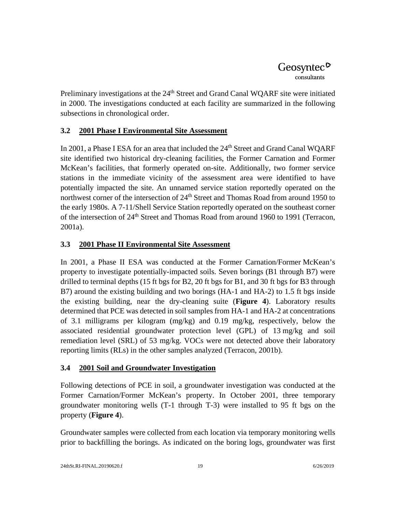Preliminary investigations at the 24<sup>th</sup> Street and Grand Canal WOARF site were initiated in 2000. The investigations conducted at each facility are summarized in the following subsections in chronological order.

## <span id="page-29-0"></span>**3.2 2001 Phase I Environmental Site Assessment**

In 2001, a Phase I ESA for an area that included the 24<sup>th</sup> Street and Grand Canal WOARF site identified two historical dry-cleaning facilities, the Former Carnation and Former McKean's facilities, that formerly operated on-site. Additionally, two former service stations in the immediate vicinity of the assessment area were identified to have potentially impacted the site. An unnamed service station reportedly operated on the northwest corner of the intersection of 24<sup>th</sup> Street and Thomas Road from around 1950 to the early 1980s. A 7-11/Shell Service Station reportedly operated on the southeast corner of the intersection of 24<sup>th</sup> Street and Thomas Road from around 1960 to 1991 (Terracon, 2001a).

## <span id="page-29-1"></span>**3.3 2001 Phase II Environmental Site Assessment**

In 2001, a Phase II ESA was conducted at the Former Carnation/Former McKean's property to investigate potentially-impacted soils. Seven borings (B1 through B7) were drilled to terminal depths (15 ft bgs for B2, 20 ft bgs for B1, and 30 ft bgs for B3 through B7) around the existing building and two borings (HA-1 and HA-2) to 1.5 ft bgs inside the existing building, near the dry-cleaning suite (**Figure 4**). Laboratory results determined that PCE was detected in soil samples from HA-1 and HA-2 at concentrations of 3.1 milligrams per kilogram (mg/kg) and 0.19 mg/kg, respectively, below the associated residential groundwater protection level (GPL) of 13 mg/kg and soil remediation level (SRL) of 53 mg/kg. VOCs were not detected above their laboratory reporting limits (RLs) in the other samples analyzed (Terracon, 2001b).

## <span id="page-29-2"></span>**3.4 2001 Soil and Groundwater Investigation**

Following detections of PCE in soil, a groundwater investigation was conducted at the Former Carnation/Former McKean's property. In October 2001, three temporary groundwater monitoring wells (T-1 through T-3) were installed to 95 ft bgs on the property (**Figure 4**).

Groundwater samples were collected from each location via temporary monitoring wells prior to backfilling the borings. As indicated on the boring logs, groundwater was first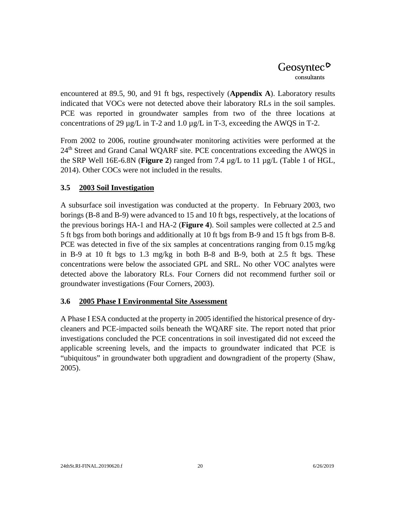encountered at 89.5, 90, and 91 ft bgs, respectively (**Appendix A**). Laboratory results indicated that VOCs were not detected above their laboratory RLs in the soil samples. PCE was reported in groundwater samples from two of the three locations at concentrations of 29  $\mu$ g/L in T-2 and 1.0  $\mu$ g/L in T-3, exceeding the AWQS in T-2.

From 2002 to 2006, routine groundwater monitoring activities were performed at the 24<sup>th</sup> Street and Grand Canal WQARF site. PCE concentrations exceeding the AWQS in the SRP Well 16E-6.8N (**Figure 2**) ranged from 7.4 µg/L to 11 µg/L (Table 1 of HGL, 2014). Other COCs were not included in the results.

## <span id="page-30-0"></span>**3.5 2003 Soil Investigation**

A subsurface soil investigation was conducted at the property. In February 2003, two borings (B-8 and B-9) were advanced to 15 and 10 ft bgs, respectively, at the locations of the previous borings HA-1 and HA-2 (**Figure 4**). Soil samples were collected at 2.5 and 5 ft bgs from both borings and additionally at 10 ft bgs from B-9 and 15 ft bgs from B-8. PCE was detected in five of the six samples at concentrations ranging from 0.15 mg/kg in B-9 at 10 ft bgs to 1.3 mg/kg in both B-8 and B-9, both at 2.5 ft bgs. These concentrations were below the associated GPL and SRL. No other VOC analytes were detected above the laboratory RLs. Four Corners did not recommend further soil or groundwater investigations (Four Corners, 2003).

#### <span id="page-30-1"></span>**3.6 2005 Phase I Environmental Site Assessment**

A Phase I ESA conducted at the property in 2005 identified the historical presence of drycleaners and PCE-impacted soils beneath the WQARF site. The report noted that prior investigations concluded the PCE concentrations in soil investigated did not exceed the applicable screening levels, and the impacts to groundwater indicated that PCE is "ubiquitous" in groundwater both upgradient and downgradient of the property (Shaw, 2005).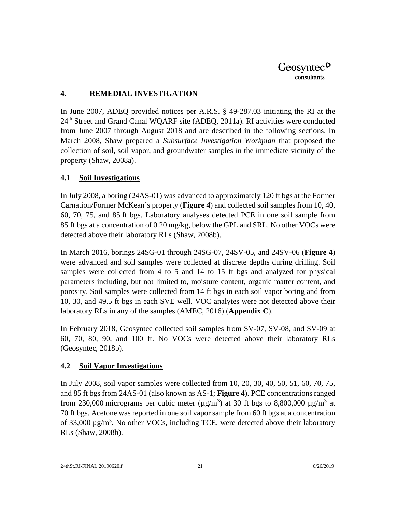#### <span id="page-31-0"></span>**4. REMEDIAL INVESTIGATION**

In June 2007, ADEQ provided notices per A.R.S. § 49-287.03 initiating the RI at the 24<sup>th</sup> Street and Grand Canal WQARF site (ADEQ, 2011a). RI activities were conducted from June 2007 through August 2018 and are described in the following sections. In March 2008, Shaw prepared a *Subsurface Investigation Workplan* that proposed the collection of soil, soil vapor, and groundwater samples in the immediate vicinity of the property (Shaw, 2008a).

## <span id="page-31-1"></span>**4.1 Soil Investigations**

In July 2008, a boring (24AS-01) was advanced to approximately 120 ft bgs at the Former Carnation/Former McKean's property (**Figure 4**) and collected soil samples from 10, 40, 60, 70, 75, and 85 ft bgs. Laboratory analyses detected PCE in one soil sample from 85 ft bgs at a concentration of 0.20 mg/kg, below the GPL and SRL. No other VOCs were detected above their laboratory RLs (Shaw, 2008b).

In March 2016, borings 24SG-01 through 24SG-07, 24SV-05, and 24SV-06 (**Figure 4**) were advanced and soil samples were collected at discrete depths during drilling. Soil samples were collected from 4 to 5 and 14 to 15 ft bgs and analyzed for physical parameters including, but not limited to, moisture content, organic matter content, and porosity. Soil samples were collected from 14 ft bgs in each soil vapor boring and from 10, 30, and 49.5 ft bgs in each SVE well. VOC analytes were not detected above their laboratory RLs in any of the samples (AMEC, 2016) (**Appendix C**).

In February 2018, Geosyntec collected soil samples from SV-07, SV-08, and SV-09 at 60, 70, 80, 90, and 100 ft. No VOCs were detected above their laboratory RLs (Geosyntec, 2018b).

## <span id="page-31-2"></span>**4.2 Soil Vapor Investigations**

In July 2008, soil vapor samples were collected from 10, 20, 30, 40, 50, 51, 60, 70, 75, and 85 ft bgs from 24AS-01 (also known as AS-1; **Figure 4**). PCE concentrations ranged from 230,000 micrograms per cubic meter ( $\mu$ g/m<sup>3</sup>) at 30 ft bgs to 8,800,000  $\mu$ g/m<sup>3</sup> at 70 ft bgs. Acetone was reported in one soil vapor sample from 60 ft bgs at a concentration of 33,000  $\mu$ g/m<sup>3</sup>. No other VOCs, including TCE, were detected above their laboratory RLs (Shaw, 2008b).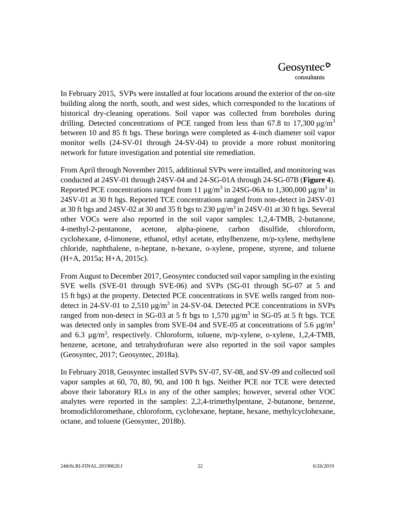In February 2015, SVPs were installed at four locations around the exterior of the on-site building along the north, south, and west sides, which corresponded to the locations of historical dry-cleaning operations. Soil vapor was collected from boreholes during drilling. Detected concentrations of PCE ranged from less than 67.8 to 17,300  $\mu$ g/m<sup>3</sup> between 10 and 85 ft bgs. These borings were completed as 4-inch diameter soil vapor monitor wells (24-SV-01 through 24-SV-04) to provide a more robust monitoring network for future investigation and potential site remediation.

From April through November 2015, additional SVPs were installed, and monitoring was conducted at 24SV-01 through 24SV-04 and 24-SG-01A through 24-SG-07B (**Figure 4**). Reported PCE concentrations ranged from 11  $\mu$ g/m<sup>3</sup> in 24SG-06A to 1,300,000  $\mu$ g/m<sup>3</sup> in 24SV-01 at 30 ft bgs. Reported TCE concentrations ranged from non-detect in 24SV-01 at 30 ft bgs and 24SV-02 at 30 and 35 ft bgs to 230  $\mu$ g/m<sup>3</sup> in 24SV-01 at 30 ft bgs. Several other VOCs were also reported in the soil vapor samples: 1,2,4-TMB, 2-butanone, 4-methyl-2-pentanone, acetone, alpha-pinene, carbon disulfide, chloroform, cyclohexane, d-limonene, ethanol, ethyl acetate, ethylbenzene, m/p-xylene, methylene chloride, naphthalene, n-heptane, n-hexane, o-xylene, propene, styrene, and toluene (H+A, 2015a; H+A, 2015c).

From August to December 2017, Geosyntec conducted soil vapor sampling in the existing SVE wells (SVE-01 through SVE-06) and SVPs (SG-01 through SG-07 at 5 and 15 ft bgs) at the property. Detected PCE concentrations in SVE wells ranged from nondetect in 24-SV-01 to 2,510  $\mu$ g/m<sup>3</sup> in 24-SV-04. Detected PCE concentrations in SVPs ranged from non-detect in SG-03 at 5 ft bgs to 1,570  $\mu$ g/m<sup>3</sup> in SG-05 at 5 ft bgs. TCE was detected only in samples from SVE-04 and SVE-05 at concentrations of 5.6  $\mu$ g/m<sup>3</sup> and 6.3  $\mu$ g/m<sup>3</sup>, respectively. Chloroform, toluene, m/p-xylene, o-xylene, 1,2,4-TMB, benzene, acetone, and tetrahydrofuran were also reported in the soil vapor samples (Geosyntec, 2017; Geosyntec, 2018a).

In February 2018, Geosyntec installed SVPs SV-07, SV-08, and SV-09 and collected soil vapor samples at 60, 70, 80, 90, and 100 ft bgs. Neither PCE nor TCE were detected above their laboratory RLs in any of the other samples; however, several other VOC analytes were reported in the samples: 2,2,4-trimethylpentane, 2-butanone, benzene, bromodichloromethane, chloroform, cyclohexane, heptane, hexane, methylcyclohexane, octane, and toluene (Geosyntec, 2018b).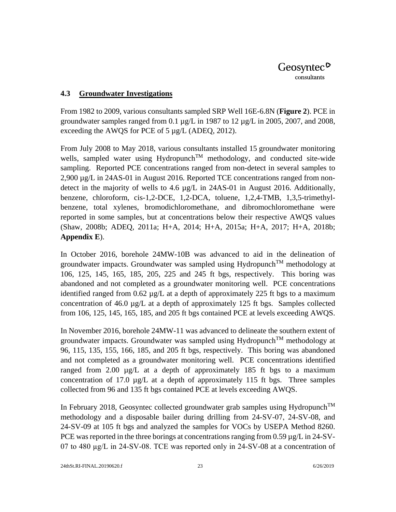#### <span id="page-33-0"></span>**4.3 Groundwater Investigations**

From 1982 to 2009, various consultants sampled SRP Well 16E-6.8N (**Figure 2**). PCE in groundwater samples ranged from 0.1  $\mu$ g/L in 1987 to 12  $\mu$ g/L in 2005, 2007, and 2008, exceeding the AWQS for PCE of 5 µg/L (ADEQ, 2012).

From July 2008 to May 2018, various consultants installed 15 groundwater monitoring wells, sampled water using Hydropunch<sup>TM</sup> methodology, and conducted site-wide sampling. Reported PCE concentrations ranged from non-detect in several samples to 2,900 µg/L in 24AS-01 in August 2016. Reported TCE concentrations ranged from nondetect in the majority of wells to 4.6  $\mu$ g/L in 24AS-01 in August 2016. Additionally, benzene, chloroform, cis-1,2-DCE, 1,2-DCA, toluene, 1,2,4-TMB, 1,3,5-trimethylbenzene, total xylenes, bromodichloromethane, and dibromochloromethane were reported in some samples, but at concentrations below their respective AWQS values (Shaw, 2008b; ADEQ, 2011a; H+A, 2014; H+A, 2015a; H+A, 2017; H+A, 2018b; **Appendix E**).

In October 2016, borehole 24MW-10B was advanced to aid in the delineation of groundwater impacts. Groundwater was sampled using Hydropunch<sup>TM</sup> methodology at 106, 125, 145, 165, 185, 205, 225 and 245 ft bgs, respectively. This boring was abandoned and not completed as a groundwater monitoring well. PCE concentrations identified ranged from 0.62 µg/L at a depth of approximately 225 ft bgs to a maximum concentration of  $46.0 \mu g/L$  at a depth of approximately 125 ft bgs. Samples collected from 106, 125, 145, 165, 185, and 205 ft bgs contained PCE at levels exceeding AWQS.

In November 2016, borehole 24MW-11 was advanced to delineate the southern extent of groundwater impacts. Groundwater was sampled using Hydropunch<sup>TM</sup> methodology at 96, 115, 135, 155, 166, 185, and 205 ft bgs, respectively. This boring was abandoned and not completed as a groundwater monitoring well. PCE concentrations identified ranged from 2.00 µg/L at a depth of approximately 185 ft bgs to a maximum concentration of 17.0 µg/L at a depth of approximately 115 ft bgs. Three samples collected from 96 and 135 ft bgs contained PCE at levels exceeding AWQS.

In February 2018, Geosyntec collected groundwater grab samples using Hydropunch<sup>TM</sup> methodology and a disposable bailer during drilling from 24-SV-07, 24‑SV-08, and 24-SV-09 at 105 ft bgs and analyzed the samples for VOCs by USEPA Method 8260. PCE was reported in the three borings at concentrations ranging from 0.59 µg/L in 24-SV-07 to 480 µg/L in 24‑SV‑08. TCE was reported only in 24‑SV-08 at a concentration of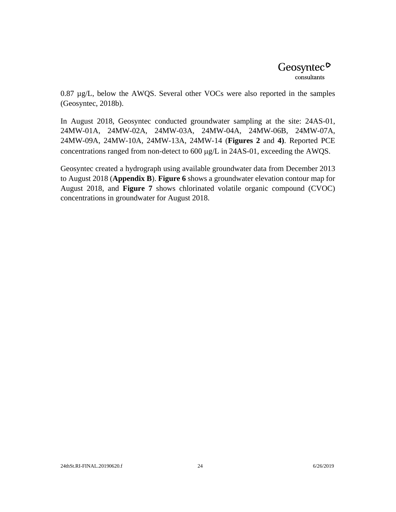0.87 µg/L, below the AWQS. Several other VOCs were also reported in the samples (Geosyntec, 2018b).

In August 2018, Geosyntec conducted groundwater sampling at the site: 24AS-01, 24MW-01A, 24MW-02A, 24MW-03A, 24MW-04A, 24MW-06B, 24MW-07A, 24MW-09A, 24MW-10A, 24MW-13A, 24MW-14 (**Figures 2** and **4)**. Reported PCE concentrations ranged from non-detect to 600 µg/L in 24AS-01, exceeding the AWQS.

Geosyntec created a hydrograph using available groundwater data from December 2013 to August 2018 (**Appendix B**). **Figure 6** shows a groundwater elevation contour map for August 2018, and **Figure 7** shows chlorinated volatile organic compound (CVOC) concentrations in groundwater for August 2018.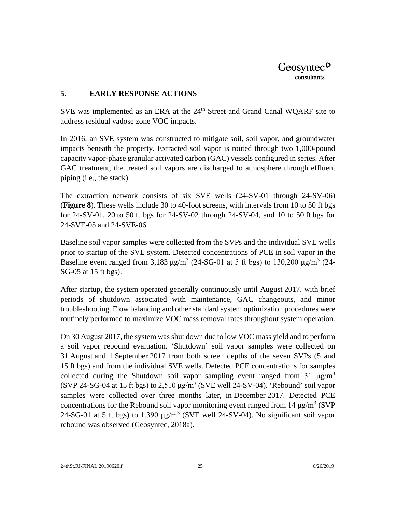

#### <span id="page-35-0"></span>**5. EARLY RESPONSE ACTIONS**

SVE was implemented as an ERA at the 24<sup>th</sup> Street and Grand Canal WQARF site to address residual vadose zone VOC impacts.

In 2016, an SVE system was constructed to mitigate soil, soil vapor, and groundwater impacts beneath the property. Extracted soil vapor is routed through two 1,000-pound capacity vapor-phase granular activated carbon (GAC) vessels configured in series. After GAC treatment, the treated soil vapors are discharged to atmosphere through effluent piping (i.e., the stack).

The extraction network consists of six SVE wells (24-SV-01 through 24-SV-06) (**Figure 8**). These wells include 30 to 40-foot screens, with intervals from 10 to 50 ft bgs for 24-SV-01, 20 to 50 ft bgs for 24-SV-02 through 24-SV-04, and 10 to 50 ft bgs for 24-SVE-05 and 24-SVE-06.

Baseline soil vapor samples were collected from the SVPs and the individual SVE wells prior to startup of the SVE system. Detected concentrations of PCE in soil vapor in the Baseline event ranged from 3,183  $\mu$ g/m<sup>3</sup> (24-SG-01 at 5 ft bgs) to 130,200  $\mu$ g/m<sup>3</sup> (24-SG-05 at 15 ft bgs).

After startup, the system operated generally continuously until August 2017, with brief periods of shutdown associated with maintenance, GAC changeouts, and minor troubleshooting. Flow balancing and other standard system optimization procedures were routinely performed to maximize VOC mass removal rates throughout system operation.

On 30 August 2017, the system was shut down due to low VOC mass yield and to perform a soil vapor rebound evaluation. 'Shutdown' soil vapor samples were collected on 31 August and 1 September 2017 from both screen depths of the seven SVPs (5 and 15 ft bgs) and from the individual SVE wells. Detected PCE concentrations for samples collected during the Shutdown soil vapor sampling event ranged from 31  $\mu$ g/m<sup>3</sup> (SVP 24-SG-04 at 15 ft bgs) to  $2,510 \mu g/m^3$  (SVE well 24-SV-04). 'Rebound' soil vapor samples were collected over three months later, in December 2017. Detected PCE concentrations for the Rebound soil vapor monitoring event ranged from 14  $\mu$ g/m<sup>3</sup> (SVP 24-SG-01 at 5 ft bgs) to 1,390  $\mu$ g/m<sup>3</sup> (SVE well 24-SV-04). No significant soil vapor rebound was observed (Geosyntec, 2018a).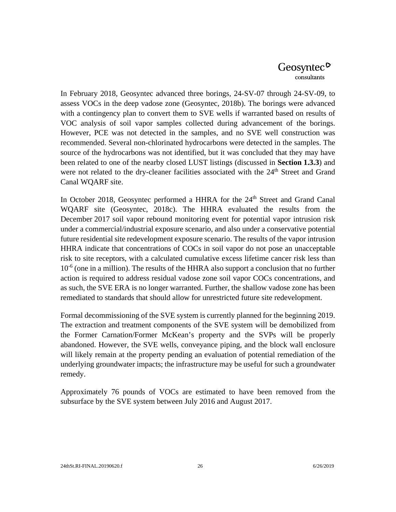In February 2018, Geosyntec advanced three borings, 24-SV-07 through 24-SV-09, to assess VOCs in the deep vadose zone (Geosyntec, 2018b). The borings were advanced with a contingency plan to convert them to SVE wells if warranted based on results of VOC analysis of soil vapor samples collected during advancement of the borings. However, PCE was not detected in the samples, and no SVE well construction was recommended. Several non-chlorinated hydrocarbons were detected in the samples. The source of the hydrocarbons was not identified, but it was concluded that they may have been related to one of the nearby closed LUST listings (discussed in **Section 1.3.3**) and were not related to the dry-cleaner facilities associated with the  $24<sup>th</sup>$  Street and Grand Canal WQARF site.

In October 2018, Geosyntec performed a HHRA for the 24<sup>th</sup> Street and Grand Canal WQARF site (Geosyntec, 2018c). The HHRA evaluated the results from the December 2017 soil vapor rebound monitoring event for potential vapor intrusion risk under a commercial/industrial exposure scenario, and also under a conservative potential future residential site redevelopment exposure scenario. The results of the vapor intrusion HHRA indicate that concentrations of COCs in soil vapor do not pose an unacceptable risk to site receptors, with a calculated cumulative excess lifetime cancer risk less than  $10^{-6}$  (one in a million). The results of the HHRA also support a conclusion that no further action is required to address residual vadose zone soil vapor COCs concentrations, and as such, the SVE ERA is no longer warranted. Further, the shallow vadose zone has been remediated to standards that should allow for unrestricted future site redevelopment.

Formal decommissioning of the SVE system is currently planned for the beginning 2019. The extraction and treatment components of the SVE system will be demobilized from the Former Carnation/Former McKean's property and the SVPs will be properly abandoned. However, the SVE wells, conveyance piping, and the block wall enclosure will likely remain at the property pending an evaluation of potential remediation of the underlying groundwater impacts; the infrastructure may be useful for such a groundwater remedy.

Approximately 76 pounds of VOCs are estimated to have been removed from the subsurface by the SVE system between July 2016 and August 2017.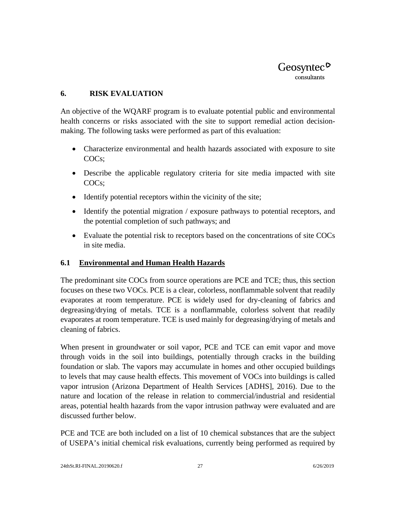

#### <span id="page-37-0"></span>**6. RISK EVALUATION**

An objective of the WQARF program is to evaluate potential public and environmental health concerns or risks associated with the site to support remedial action decisionmaking. The following tasks were performed as part of this evaluation:

- Characterize environmental and health hazards associated with exposure to site COCs;
- Describe the applicable regulatory criteria for site media impacted with site COCs;
- Identify potential receptors within the vicinity of the site;
- Identify the potential migration / exposure pathways to potential receptors, and the potential completion of such pathways; and
- Evaluate the potential risk to receptors based on the concentrations of site COCs in site media.

#### <span id="page-37-1"></span>**6.1 Environmental and Human Health Hazards**

The predominant site COCs from source operations are PCE and TCE; thus, this section focuses on these two VOCs. PCE is a clear, colorless, nonflammable solvent that readily evaporates at room temperature. PCE is widely used for dry-cleaning of fabrics and degreasing/drying of metals. TCE is a nonflammable, colorless solvent that readily evaporates at room temperature. TCE is used mainly for degreasing/drying of metals and cleaning of fabrics.

When present in groundwater or soil vapor, PCE and TCE can emit vapor and move through voids in the soil into buildings, potentially through cracks in the building foundation or slab. The vapors may accumulate in homes and other occupied buildings to levels that may cause health effects. This movement of VOCs into buildings is called vapor intrusion (Arizona Department of Health Services [ADHS], 2016). Due to the nature and location of the release in relation to commercial/industrial and residential areas, potential health hazards from the vapor intrusion pathway were evaluated and are discussed further below.

PCE and TCE are both included on a list of 10 chemical substances that are the subject of USEPA's initial chemical risk evaluations, currently being performed as required by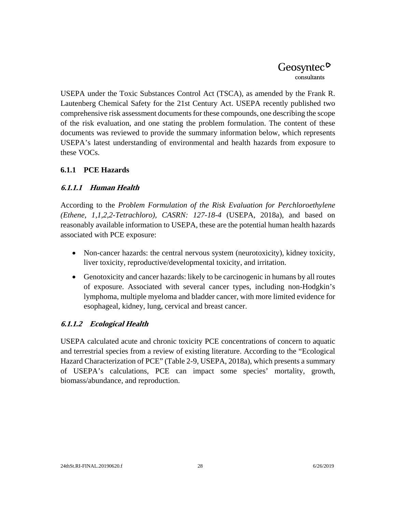USEPA under the Toxic Substances Control Act (TSCA), as amended by the Frank R. Lautenberg Chemical Safety for the 21st Century Act. USEPA recently published two comprehensive risk assessment documents for these compounds, one describing the scope of the risk evaluation, and one stating the problem formulation. The content of these documents was reviewed to provide the summary information below, which represents USEPA's latest understanding of environmental and health hazards from exposure to these VOCs.

#### <span id="page-38-0"></span>**6.1.1 PCE Hazards**

#### **6.1.1.1 Human Health**

According to the *Problem Formulation of the Risk Evaluation for Perchloroethylene (Ethene, 1,1,2,2-Tetrachloro), CASRN: 127-18-4* (USEPA, 2018a), and based on reasonably available information to USEPA, these are the potential human health hazards associated with PCE exposure:

- Non-cancer hazards: the central nervous system (neurotoxicity), kidney toxicity, liver toxicity, reproductive/developmental toxicity, and irritation.
- Genotoxicity and cancer hazards: likely to be carcinogenic in humans by all routes of exposure. Associated with several cancer types, including non-Hodgkin's lymphoma, multiple myeloma and bladder cancer, with more limited evidence for esophageal, kidney, lung, cervical and breast cancer.

## **6.1.1.2 Ecological Health**

USEPA calculated acute and chronic toxicity PCE concentrations of concern to aquatic and terrestrial species from a review of existing literature. According to the "Ecological Hazard Characterization of PCE" (Table 2-9, USEPA, 2018a), which presents a summary of USEPA's calculations, PCE can impact some species' mortality, growth, biomass/abundance, and reproduction.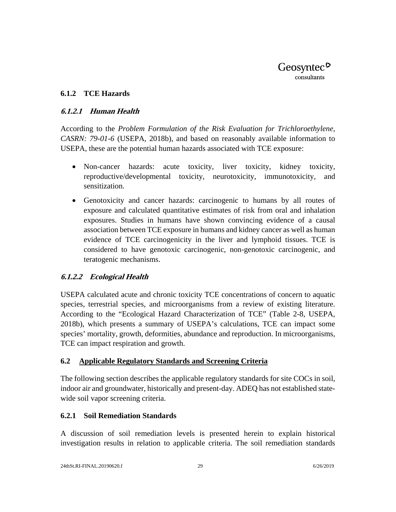#### <span id="page-39-0"></span>**6.1.2 TCE Hazards**

#### **6.1.2.1 Human Health**

According to the *Problem Formulation of the Risk Evaluation for Trichloroethylene, CASRN: 79-01-6* (USEPA, 2018b), and based on reasonably available information to USEPA, these are the potential human hazards associated with TCE exposure:

- Non-cancer hazards: acute toxicity, liver toxicity, kidney toxicity, reproductive/developmental toxicity, neurotoxicity, immunotoxicity, and sensitization.
- Genotoxicity and cancer hazards: carcinogenic to humans by all routes of exposure and calculated quantitative estimates of risk from oral and inhalation exposures. Studies in humans have shown convincing evidence of a causal association between TCE exposure in humans and kidney cancer as well as human evidence of TCE carcinogenicity in the liver and lymphoid tissues. TCE is considered to have genotoxic carcinogenic, non-genotoxic carcinogenic, and teratogenic mechanisms.

## **6.1.2.2 Ecological Health**

USEPA calculated acute and chronic toxicity TCE concentrations of concern to aquatic species, terrestrial species, and microorganisms from a review of existing literature. According to the "Ecological Hazard Characterization of TCE" (Table 2-8, USEPA, 2018b), which presents a summary of USEPA's calculations, TCE can impact some species' mortality, growth, deformities, abundance and reproduction. In microorganisms, TCE can impact respiration and growth.

#### <span id="page-39-1"></span>**6.2 Applicable Regulatory Standards and Screening Criteria**

The following section describes the applicable regulatory standards for site COCs in soil, indoor air and groundwater, historically and present-day. ADEQ has not established statewide soil vapor screening criteria.

#### <span id="page-39-2"></span>**6.2.1 Soil Remediation Standards**

A discussion of soil remediation levels is presented herein to explain historical investigation results in relation to applicable criteria. The soil remediation standards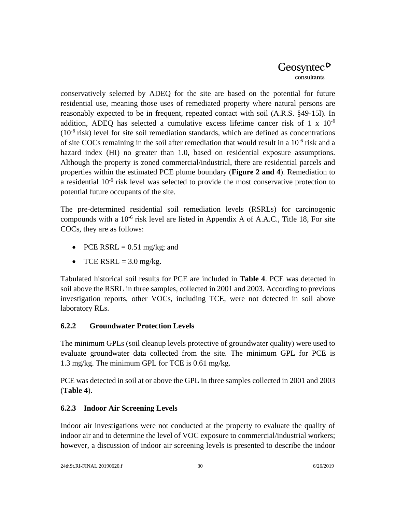conservatively selected by ADEQ for the site are based on the potential for future residential use, meaning those uses of remediated property where natural persons are reasonably expected to be in frequent, repeated contact with soil (A.R.S. §49-15l). In addition, ADEQ has selected a cumulative excess lifetime cancer risk of 1 x  $10^{-6}$  $(10^{-6}$  risk) level for site soil remediation standards, which are defined as concentrations of site COCs remaining in the soil after remediation that would result in a  $10^{-6}$  risk and a hazard index (HI) no greater than 1.0, based on residential exposure assumptions. Although the property is zoned commercial/industrial, there are residential parcels and properties within the estimated PCE plume boundary (**Figure 2 and 4**). Remediation to a residential  $10^{-6}$  risk level was selected to provide the most conservative protection to potential future occupants of the site.

The pre-determined residential soil remediation levels (RSRLs) for carcinogenic compounds with a  $10^{-6}$  risk level are listed in Appendix A of A.A.C., Title 18, For site COCs, they are as follows:

- PCE RSRL  $= 0.51$  mg/kg; and
- TCE RSRL  $=$  3.0 mg/kg.

Tabulated historical soil results for PCE are included in **Table 4**. PCE was detected in soil above the RSRL in three samples, collected in 2001 and 2003. According to previous investigation reports, other VOCs, including TCE, were not detected in soil above laboratory RLs.

## <span id="page-40-0"></span>**6.2.2 Groundwater Protection Levels**

The minimum GPLs (soil cleanup levels protective of groundwater quality) were used to evaluate groundwater data collected from the site. The minimum GPL for PCE is 1.3 mg/kg. The minimum GPL for TCE is 0.61 mg/kg.

PCE was detected in soil at or above the GPL in three samples collected in 2001 and 2003 (**Table 4**).

## <span id="page-40-1"></span>**6.2.3 Indoor Air Screening Levels**

Indoor air investigations were not conducted at the property to evaluate the quality of indoor air and to determine the level of VOC exposure to commercial/industrial workers; however, a discussion of indoor air screening levels is presented to describe the indoor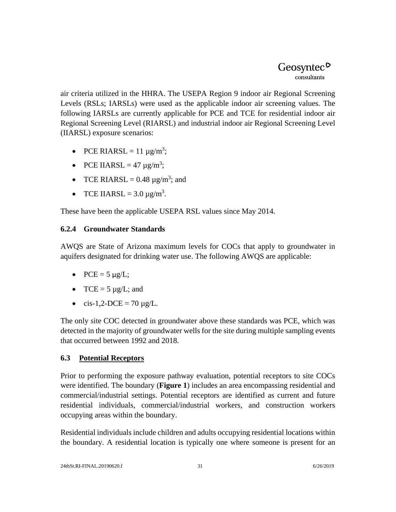air criteria utilized in the HHRA. The USEPA Region 9 indoor air Regional Screening Levels (RSLs; IARSLs) were used as the applicable indoor air screening values. The following IARSLs are currently applicable for PCE and TCE for residential indoor air Regional Screening Level (RIARSL) and industrial indoor air Regional Screening Level (IIARSL) exposure scenarios:

- PCE RIARSL =  $11 \mu g/m^3$ ;
- PCE IIARSL =  $47 \mu g/m^3$ ;
- TCE RIARSL =  $0.48 \mu g/m^3$ ; and
- TCE IIARSL =  $3.0 \,\mu\text{g/m}^3$ .

These have been the applicable USEPA RSL values since May 2014.

## <span id="page-41-0"></span>**6.2.4 Groundwater Standards**

AWQS are State of Arizona maximum levels for COCs that apply to groundwater in aquifers designated for drinking water use. The following AWQS are applicable:

- $PCE = 5 \mu g/L$ ;
- $TCE = 5 \mu g/L$ ; and
- cis-1,2-DCE = 70  $\mu$ g/L.

The only site COC detected in groundwater above these standards was PCE, which was detected in the majority of groundwater wells for the site during multiple sampling events that occurred between 1992 and 2018.

## <span id="page-41-1"></span>**6.3 Potential Receptors**

Prior to performing the exposure pathway evaluation, potential receptors to site COCs were identified. The boundary (**Figure 1**) includes an area encompassing residential and commercial/industrial settings. Potential receptors are identified as current and future residential individuals, commercial/industrial workers, and construction workers occupying areas within the boundary.

Residential individuals include children and adults occupying residential locations within the boundary. A residential location is typically one where someone is present for an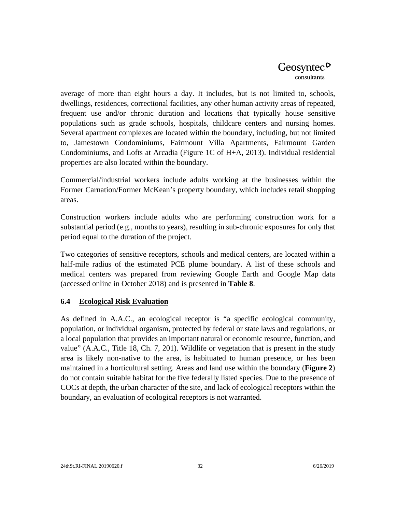average of more than eight hours a day. It includes, but is not limited to, schools, dwellings, residences, correctional facilities, any other human activity areas of repeated, frequent use and/or chronic duration and locations that typically house sensitive populations such as grade schools, hospitals, childcare centers and nursing homes. Several apartment complexes are located within the boundary, including, but not limited to, Jamestown Condominiums, Fairmount Villa Apartments, Fairmount Garden Condominiums, and Lofts at Arcadia (Figure 1C of H+A, 2013). Individual residential properties are also located within the boundary.

Commercial/industrial workers include adults working at the businesses within the Former Carnation/Former McKean's property boundary, which includes retail shopping areas.

Construction workers include adults who are performing construction work for a substantial period (e.g., months to years), resulting in sub-chronic exposures for only that period equal to the duration of the project.

Two categories of sensitive receptors, schools and medical centers, are located within a half-mile radius of the estimated PCE plume boundary. A list of these schools and medical centers was prepared from reviewing Google Earth and Google Map data (accessed online in October 2018) and is presented in **Table 8**.

## <span id="page-42-0"></span>**6.4 Ecological Risk Evaluation**

As defined in A.A.C., an ecological receptor is "a specific ecological community, population, or individual organism, protected by federal or state laws and regulations, or a local population that provides an important natural or economic resource, function, and value" (A.A.C., Title 18, Ch. 7, 201). Wildlife or vegetation that is present in the study area is likely non-native to the area, is habituated to human presence, or has been maintained in a horticultural setting. Areas and land use within the boundary (**Figure 2**) do not contain suitable habitat for the five federally listed species. Due to the presence of COCs at depth, the urban character of the site, and lack of ecological receptors within the boundary, an evaluation of ecological receptors is not warranted.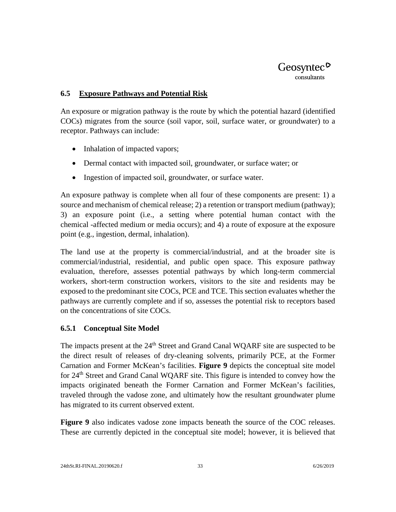#### <span id="page-43-0"></span>**6.5 Exposure Pathways and Potential Risk**

An exposure or migration pathway is the route by which the potential hazard (identified COCs) migrates from the source (soil vapor, soil, surface water, or groundwater) to a receptor. Pathways can include:

- Inhalation of impacted vapors;
- Dermal contact with impacted soil, groundwater, or surface water; or
- Ingestion of impacted soil, groundwater, or surface water.

An exposure pathway is complete when all four of these components are present: 1) a source and mechanism of chemical release; 2) a retention or transport medium (pathway); 3) an exposure point (i.e., a setting where potential human contact with the chemical -affected medium or media occurs); and 4) a route of exposure at the exposure point (e.g., ingestion, dermal, inhalation).

The land use at the property is commercial/industrial, and at the broader site is commercial/industrial, residential, and public open space. This exposure pathway evaluation, therefore, assesses potential pathways by which long-term commercial workers, short-term construction workers, visitors to the site and residents may be exposed to the predominant site COCs, PCE and TCE. This section evaluates whether the pathways are currently complete and if so, assesses the potential risk to receptors based on the concentrations of site COCs.

#### <span id="page-43-1"></span>**6.5.1 Conceptual Site Model**

The impacts present at the 24<sup>th</sup> Street and Grand Canal WQARF site are suspected to be the direct result of releases of dry-cleaning solvents, primarily PCE, at the Former Carnation and Former McKean's facilities. **Figure 9** depicts the conceptual site model for 24<sup>th</sup> Street and Grand Canal WQARF site. This figure is intended to convey how the impacts originated beneath the Former Carnation and Former McKean's facilities, traveled through the vadose zone, and ultimately how the resultant groundwater plume has migrated to its current observed extent.

**Figure 9** also indicates vadose zone impacts beneath the source of the COC releases. These are currently depicted in the conceptual site model; however, it is believed that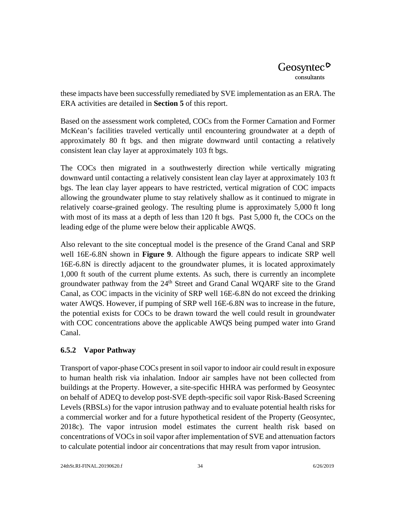these impacts have been successfully remediated by SVE implementation as an ERA. The ERA activities are detailed in **Section 5** of this report.

Based on the assessment work completed, COCs from the Former Carnation and Former McKean's facilities traveled vertically until encountering groundwater at a depth of approximately 80 ft bgs. and then migrate downward until contacting a relatively consistent lean clay layer at approximately 103 ft bgs.

The COCs then migrated in a southwesterly direction while vertically migrating downward until contacting a relatively consistent lean clay layer at approximately 103 ft bgs. The lean clay layer appears to have restricted, vertical migration of COC impacts allowing the groundwater plume to stay relatively shallow as it continued to migrate in relatively coarse-grained geology. The resulting plume is approximately 5,000 ft long with most of its mass at a depth of less than 120 ft bgs. Past 5,000 ft, the COCs on the leading edge of the plume were below their applicable AWQS.

Also relevant to the site conceptual model is the presence of the Grand Canal and SRP well 16E-6.8N shown in **Figure 9**. Although the figure appears to indicate SRP well 16E-6.8N is directly adjacent to the groundwater plumes, it is located approximately 1,000 ft south of the current plume extents. As such, there is currently an incomplete groundwater pathway from the 24<sup>th</sup> Street and Grand Canal WQARF site to the Grand Canal, as COC impacts in the vicinity of SRP well 16E-6.8N do not exceed the drinking water AWQS. However, if pumping of SRP well 16E-6.8N was to increase in the future, the potential exists for COCs to be drawn toward the well could result in groundwater with COC concentrations above the applicable AWQS being pumped water into Grand Canal.

## <span id="page-44-0"></span>**6.5.2 Vapor Pathway**

Transport of vapor-phase COCs present in soil vapor to indoor air could result in exposure to human health risk via inhalation. Indoor air samples have not been collected from buildings at the Property. However, a site-specific HHRA was performed by Geosyntec on behalf of ADEQ to develop post-SVE depth-specific soil vapor Risk-Based Screening Levels (RBSLs) for the vapor intrusion pathway and to evaluate potential health risks for a commercial worker and for a future hypothetical resident of the Property (Geosyntec, 2018c). The vapor intrusion model estimates the current health risk based on concentrations of VOCs in soil vapor after implementation of SVE and attenuation factors to calculate potential indoor air concentrations that may result from vapor intrusion.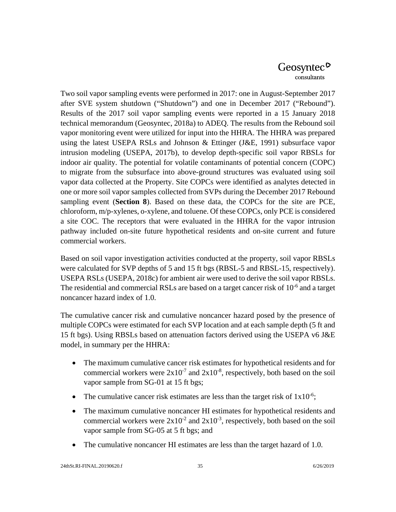Two soil vapor sampling events were performed in 2017: one in August-September 2017 after SVE system shutdown ("Shutdown") and one in December 2017 ("Rebound"). Results of the 2017 soil vapor sampling events were reported in a 15 January 2018 technical memorandum (Geosyntec, 2018a) to ADEQ. The results from the Rebound soil vapor monitoring event were utilized for input into the HHRA. The HHRA was prepared using the latest USEPA RSLs and Johnson & Ettinger (J&E, 1991) subsurface vapor intrusion modeling (USEPA, 2017b), to develop depth-specific soil vapor RBSLs for indoor air quality. The potential for volatile contaminants of potential concern (COPC) to migrate from the subsurface into above-ground structures was evaluated using soil vapor data collected at the Property. Site COPCs were identified as analytes detected in one or more soil vapor samples collected from SVPs during the December 2017 Rebound sampling event (**Section 8**). Based on these data, the COPCs for the site are PCE, chloroform, m/p-xylenes, o-xylene, and toluene. Of these COPCs, only PCE is considered a site COC. The receptors that were evaluated in the HHRA for the vapor intrusion pathway included on-site future hypothetical residents and on-site current and future commercial workers.

Based on soil vapor investigation activities conducted at the property, soil vapor RBSLs were calculated for SVP depths of 5 and 15 ft bgs (RBSL-5 and RBSL-15, respectively). USEPA RSLs (USEPA, 2018c) for ambient air were used to derive the soil vapor RBSLs. The residential and commercial RSLs are based on a target cancer risk of  $10^{-6}$  and a target noncancer hazard index of 1.0.

The cumulative cancer risk and cumulative noncancer hazard posed by the presence of multiple COPCs were estimated for each SVP location and at each sample depth (5 ft and 15 ft bgs). Using RBSLs based on attenuation factors derived using the USEPA v6 J&E model, in summary per the HHRA:

- The maximum cumulative cancer risk estimates for hypothetical residents and for commercial workers were  $2x10^{-7}$  and  $2x10^{-8}$ , respectively, both based on the soil vapor sample from SG-01 at 15 ft bgs;
- The cumulative cancer risk estimates are less than the target risk of  $1x10^{-6}$ ;
- The maximum cumulative noncancer HI estimates for hypothetical residents and commercial workers were  $2x10^{-2}$  and  $2x10^{-3}$ , respectively, both based on the soil vapor sample from SG-05 at 5 ft bgs; and
- The cumulative noncancer HI estimates are less than the target hazard of 1.0.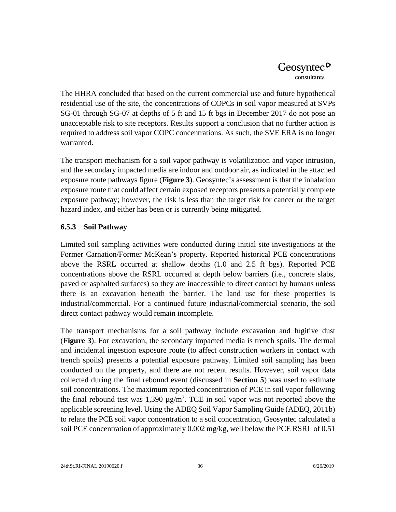The HHRA concluded that based on the current commercial use and future hypothetical residential use of the site, the concentrations of COPCs in soil vapor measured at SVPs SG-01 through SG-07 at depths of 5 ft and 15 ft bgs in December 2017 do not pose an unacceptable risk to site receptors. Results support a conclusion that no further action is required to address soil vapor COPC concentrations. As such, the SVE ERA is no longer warranted.

The transport mechanism for a soil vapor pathway is volatilization and vapor intrusion, and the secondary impacted media are indoor and outdoor air, as indicated in the attached exposure route pathways figure (**Figure 3**). Geosyntec's assessment is that the inhalation exposure route that could affect certain exposed receptors presents a potentially complete exposure pathway; however, the risk is less than the target risk for cancer or the target hazard index, and either has been or is currently being mitigated.

#### <span id="page-46-0"></span>**6.5.3 Soil Pathway**

Limited soil sampling activities were conducted during initial site investigations at the Former Carnation/Former McKean's property. Reported historical PCE concentrations above the RSRL occurred at shallow depths (1.0 and 2.5 ft bgs). Reported PCE concentrations above the RSRL occurred at depth below barriers (i.e., concrete slabs, paved or asphalted surfaces) so they are inaccessible to direct contact by humans unless there is an excavation beneath the barrier. The land use for these properties is industrial/commercial. For a continued future industrial/commercial scenario, the soil direct contact pathway would remain incomplete.

The transport mechanisms for a soil pathway include excavation and fugitive dust (**Figure 3**). For excavation, the secondary impacted media is trench spoils. The dermal and incidental ingestion exposure route (to affect construction workers in contact with trench spoils) presents a potential exposure pathway. Limited soil sampling has been conducted on the property, and there are not recent results. However, soil vapor data collected during the final rebound event (discussed in **Section 5**) was used to estimate soil concentrations. The maximum reported concentration of PCE in soil vapor following the final rebound test was  $1,390 \mu g/m^3$ . TCE in soil vapor was not reported above the applicable screening level. Using the ADEQ Soil Vapor Sampling Guide (ADEQ, 2011b) to relate the PCE soil vapor concentration to a soil concentration, Geosyntec calculated a soil PCE concentration of approximately 0.002 mg/kg, well below the PCE RSRL of 0.51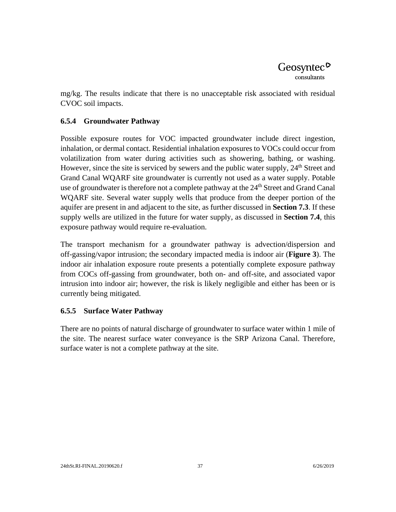mg/kg. The results indicate that there is no unacceptable risk associated with residual CVOC soil impacts.

## <span id="page-47-0"></span>**6.5.4 Groundwater Pathway**

Possible exposure routes for VOC impacted groundwater include direct ingestion, inhalation, or dermal contact. Residential inhalation exposures to VOCs could occur from volatilization from water during activities such as showering, bathing, or washing. However, since the site is serviced by sewers and the public water supply,  $24<sup>th</sup>$  Street and Grand Canal WQARF site groundwater is currently not used as a water supply. Potable use of groundwater is therefore not a complete pathway at the 24<sup>th</sup> Street and Grand Canal WQARF site. Several water supply wells that produce from the deeper portion of the aquifer are present in and adjacent to the site, as further discussed in **Section 7.3**. If these supply wells are utilized in the future for water supply, as discussed in **Section 7.4**, this exposure pathway would require re-evaluation.

The transport mechanism for a groundwater pathway is advection/dispersion and off-gassing/vapor intrusion; the secondary impacted media is indoor air (**Figure 3**). The indoor air inhalation exposure route presents a potentially complete exposure pathway from COCs off-gassing from groundwater, both on- and off-site, and associated vapor intrusion into indoor air; however, the risk is likely negligible and either has been or is currently being mitigated.

## <span id="page-47-1"></span>**6.5.5 Surface Water Pathway**

There are no points of natural discharge of groundwater to surface water within 1 mile of the site. The nearest surface water conveyance is the SRP Arizona Canal. Therefore, surface water is not a complete pathway at the site.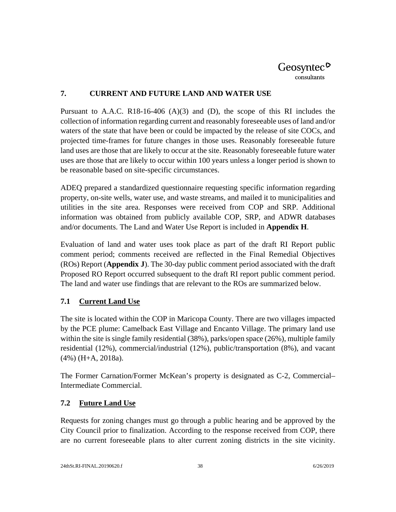#### <span id="page-48-0"></span>**7. CURRENT AND FUTURE LAND AND WATER USE**

Pursuant to A.A.C. R18-16-406  $(A)(3)$  and  $(D)$ , the scope of this RI includes the collection of information regarding current and reasonably foreseeable uses of land and/or waters of the state that have been or could be impacted by the release of site COCs, and projected time-frames for future changes in those uses. Reasonably foreseeable future land uses are those that are likely to occur at the site. Reasonably foreseeable future water uses are those that are likely to occur within 100 years unless a longer period is shown to be reasonable based on site-specific circumstances.

ADEQ prepared a standardized questionnaire requesting specific information regarding property, on-site wells, water use, and waste streams, and mailed it to municipalities and utilities in the site area. Responses were received from COP and SRP. Additional information was obtained from publicly available COP, SRP, and ADWR databases and/or documents. The Land and Water Use Report is included in **Appendix H**.

Evaluation of land and water uses took place as part of the draft RI Report public comment period; comments received are reflected in the Final Remedial Objectives (ROs) Report (**Appendix J**). The 30-day public comment period associated with the draft Proposed RO Report occurred subsequent to the draft RI report public comment period. The land and water use findings that are relevant to the ROs are summarized below.

## <span id="page-48-1"></span>**7.1 Current Land Use**

The site is located within the COP in Maricopa County. There are two villages impacted by the PCE plume: Camelback East Village and Encanto Village. The primary land use within the site is single family residential (38%), parks/open space (26%), multiple family residential (12%), commercial/industrial (12%), public/transportation (8%), and vacant (4%) (H+A, 2018a).

The Former Carnation/Former McKean's property is designated as C-2, Commercial– Intermediate Commercial.

## <span id="page-48-2"></span>**7.2 Future Land Use**

Requests for zoning changes must go through a public hearing and be approved by the City Council prior to finalization. According to the response received from COP, there are no current foreseeable plans to alter current zoning districts in the site vicinity.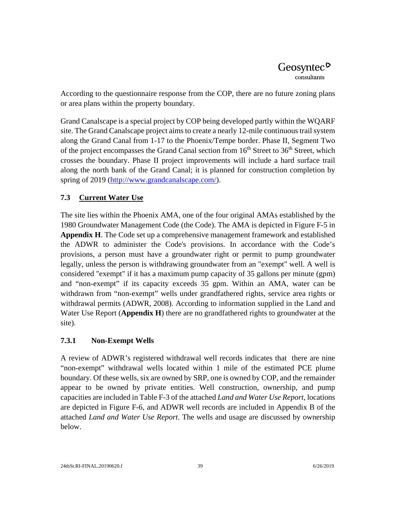According to the questionnaire response from the COP, there are no future zoning plans or area plans within the property boundary.

Grand Canalscape is a special project by COP being developed partly within the WQARF site. The Grand Canalscape project aims to create a nearly 12-mile continuous trail system along the Grand Canal from 1-17 to the Phoenix/Tempe border. Phase II, Segment Two of the project encompasses the Grand Canal section from  $16<sup>th</sup>$  Street to  $36<sup>th</sup>$  Street, which crosses the boundary. Phase II project improvements will include a hard surface trail along the north bank of the Grand Canal; it is planned for construction completion by spring of 2019 [\(http://www.grandcanalscape.com/\)](http://www.grandcanalscape.com/).

## <span id="page-49-0"></span>**7.3 Current Water Use**

The site lies within the Phoenix AMA, one of the four original AMAs established by the 1980 Groundwater Management Code (the Code). The AMA is depicted in Figure F-5 in **Appendix H**. The Code set up a comprehensive management framework and established the ADWR to administer the Code's provisions. In accordance with the Code's provisions, a person must have a groundwater right or permit to pump groundwater legally, unless the person is withdrawing groundwater from an "exempt" well. A well is considered "exempt" if it has a maximum pump capacity of 35 gallons per minute (gpm) and "non-exempt" if its capacity exceeds 35 gpm. Within an AMA, water can be withdrawn from "non-exempt" wells under grandfathered rights, service area rights or withdrawal permits (ADWR, 2008). According to information supplied in the Land and Water Use Report (**Appendix H**) there are no grandfathered rights to groundwater at the site).

## **7.3.1 Non-Exempt Wells**

A review of ADWR's registered withdrawal well records indicates that there are nine "non-exempt" withdrawal wells located within 1 mile of the estimated PCE plume boundary. Of these wells, six are owned by SRP, one is owned by COP, and the remainder appear to be owned by private entities. Well construction, ownership, and pump capacities are included in Table F-3 of the attached *Land and Water Use Report*, locations are depicted in Figure F-6, and ADWR well records are included in Appendix B of the attached *Land and Water Use Report*. The wells and usage are discussed by ownership below.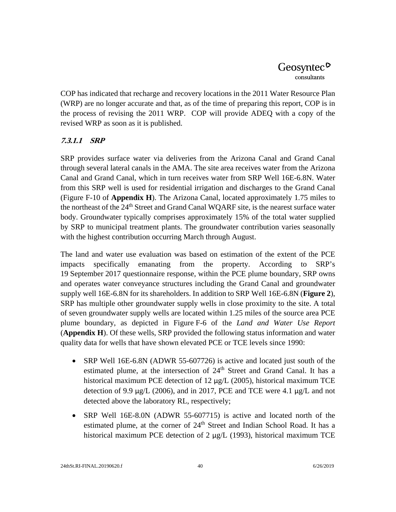COP has indicated that recharge and recovery locations in the 2011 Water Resource Plan (WRP) are no longer accurate and that, as of the time of preparing this report, COP is in the process of revising the 2011 WRP. COP will provide ADEQ with a copy of the revised WRP as soon as it is published.

## **7.3.1.1 SRP**

SRP provides surface water via deliveries from the Arizona Canal and Grand Canal through several lateral canals in the AMA. The site area receives water from the Arizona Canal and Grand Canal, which in turn receives water from SRP Well 16E-6.8N. Water from this SRP well is used for residential irrigation and discharges to the Grand Canal (Figure F-10 of **Appendix H**). The Arizona Canal, located approximately 1.75 miles to the northeast of the 24<sup>th</sup> Street and Grand Canal WQARF site, is the nearest surface water body. Groundwater typically comprises approximately 15% of the total water supplied by SRP to municipal treatment plants. The groundwater contribution varies seasonally with the highest contribution occurring March through August.

The land and water use evaluation was based on estimation of the extent of the PCE impacts specifically emanating from the property. According to SRP's 19 September 2017 questionnaire response, within the PCE plume boundary, SRP owns and operates water conveyance structures including the Grand Canal and groundwater supply well 16E-6.8N for its shareholders. In addition to SRP Well 16E-6.8N (**Figure 2**), SRP has multiple other groundwater supply wells in close proximity to the site. A total of seven groundwater supply wells are located within 1.25 miles of the source area PCE plume boundary, as depicted in Figure F-6 of the *Land and Water Use Report* (**Appendix H**). Of these wells, SRP provided the following status information and water quality data for wells that have shown elevated PCE or TCE levels since 1990:

- SRP Well 16E-6.8N (ADWR 55-607726) is active and located just south of the estimated plume, at the intersection of 24<sup>th</sup> Street and Grand Canal. It has a historical maximum PCE detection of 12 μg/L (2005), historical maximum TCE detection of 9.9 μg/L (2006), and in 2017, PCE and TCE were 4.1 μg/L and not detected above the laboratory RL, respectively;
- SRP Well 16E-8.0N (ADWR 55-607715) is active and located north of the estimated plume, at the corner of 24<sup>th</sup> Street and Indian School Road. It has a historical maximum PCE detection of 2 μg/L (1993), historical maximum TCE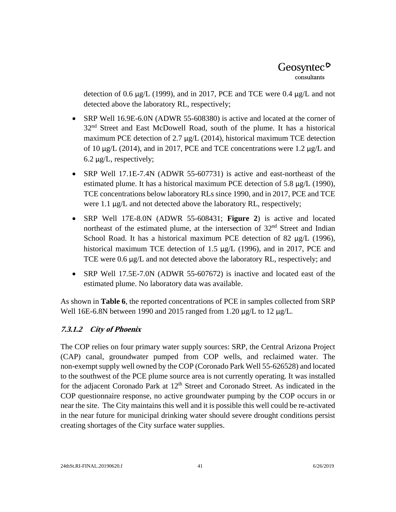detection of 0.6 μg/L (1999), and in 2017, PCE and TCE were 0.4 μg/L and not detected above the laboratory RL, respectively;

- SRP Well 16.9E-6.0N (ADWR 55-608380) is active and located at the corner of 32<sup>nd</sup> Street and East McDowell Road, south of the plume. It has a historical maximum PCE detection of 2.7 μg/L (2014), historical maximum TCE detection of 10 μg/L (2014), and in 2017, PCE and TCE concentrations were 1.2 μg/L and 6.2 μg/L, respectively;
- SRP Well 17.1E-7.4N (ADWR 55-607731) is active and east-northeast of the estimated plume. It has a historical maximum PCE detection of 5.8  $\mu$ g/L (1990), TCE concentrations below laboratory RLs since 1990, and in 2017, PCE and TCE were 1.1 μg/L and not detected above the laboratory RL, respectively;
- SRP Well 17E-8.0N (ADWR 55-608431; **Figure 2**) is active and located northeast of the estimated plume, at the intersection of 32nd Street and Indian School Road. It has a historical maximum PCE detection of 82 μg/L (1996), historical maximum TCE detection of 1.5 μg/L (1996), and in 2017, PCE and TCE were 0.6 μg/L and not detected above the laboratory RL, respectively; and
- SRP Well 17.5E-7.0N (ADWR 55-607672) is inactive and located east of the estimated plume. No laboratory data was available.

As shown in **Table 6**, the reported concentrations of PCE in samples collected from SRP Well 16E-6.8N between 1990 and 2015 ranged from 1.20 μg/L to 12 μg/L.

## **7.3.1.2 City of Phoenix**

The COP relies on four primary water supply sources: SRP, the Central Arizona Project (CAP) canal, groundwater pumped from COP wells, and reclaimed water. The non-exempt supply well owned by the COP (Coronado Park Well 55-626528) and located to the southwest of the PCE plume source area is not currently operating. It was installed for the adjacent Coronado Park at  $12<sup>th</sup>$  Street and Coronado Street. As indicated in the COP questionnaire response, no active groundwater pumping by the COP occurs in or near the site. The City maintains this well and it is possible this well could be re-activated in the near future for municipal drinking water should severe drought conditions persist creating shortages of the City surface water supplies.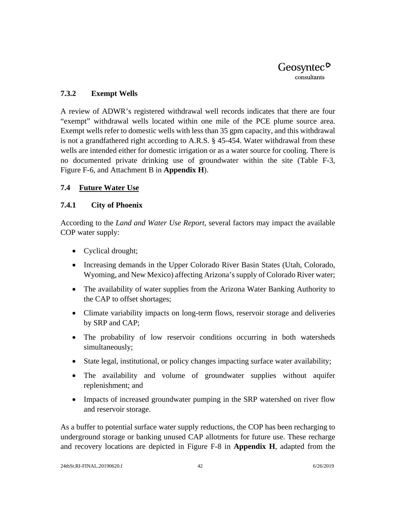#### **7.3.2 Exempt Wells**

A review of ADWR's registered withdrawal well records indicates that there are four "exempt" withdrawal wells located within one mile of the PCE plume source area. Exempt wells refer to domestic wells with less than 35 gpm capacity, and this withdrawal is not a grandfathered right according to A.R.S. § 45-454. Water withdrawal from these wells are intended either for domestic irrigation or as a water source for cooling. There is no documented private drinking use of groundwater within the site (Table F-3, Figure F-6, and Attachment B in **Appendix H**).

#### <span id="page-52-0"></span>**7.4 Future Water Use**

#### **7.4.1 City of Phoenix**

According to the *Land and Water Use Report*, several factors may impact the available COP water supply:

- Cyclical drought;
- Increasing demands in the Upper Colorado River Basin States (Utah, Colorado, Wyoming, and New Mexico) affecting Arizona's supply of Colorado River water;
- The availability of water supplies from the Arizona Water Banking Authority to the CAP to offset shortages;
- Climate variability impacts on long-term flows, reservoir storage and deliveries by SRP and CAP;
- The probability of low reservoir conditions occurring in both watersheds simultaneously;
- State legal, institutional, or policy changes impacting surface water availability;
- The availability and volume of groundwater supplies without aquifer replenishment; and
- Impacts of increased groundwater pumping in the SRP watershed on river flow and reservoir storage.

As a buffer to potential surface water supply reductions, the COP has been recharging to underground storage or banking unused CAP allotments for future use. These recharge and recovery locations are depicted in Figure F-8 in **Appendix H**, adapted from the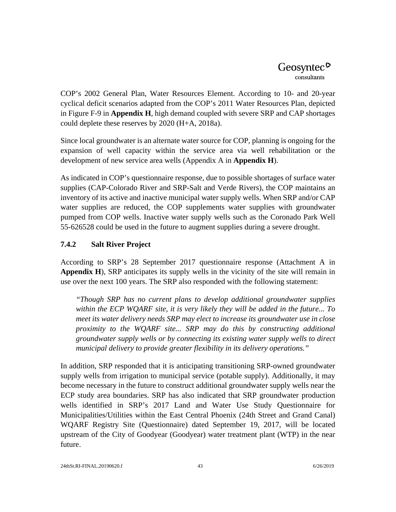COP's 2002 General Plan, Water Resources Element. According to 10- and 20-year cyclical deficit scenarios adapted from the COP's 2011 Water Resources Plan, depicted in Figure F-9 in **Appendix H**, high demand coupled with severe SRP and CAP shortages could deplete these reserves by 2020 (H+A, 2018a).

Since local groundwater is an alternate water source for COP, planning is ongoing for the expansion of well capacity within the service area via well rehabilitation or the development of new service area wells (Appendix A in **Appendix H**).

As indicated in COP's questionnaire response, due to possible shortages of surface water supplies (CAP-Colorado River and SRP-Salt and Verde Rivers), the COP maintains an inventory of its active and inactive municipal water supply wells. When SRP and/or CAP water supplies are reduced, the COP supplements water supplies with groundwater pumped from COP wells. Inactive water supply wells such as the Coronado Park Well 55-626528 could be used in the future to augment supplies during a severe drought.

## **7.4.2 Salt River Project**

According to SRP's 28 September 2017 questionnaire response (Attachment A in **Appendix H**), SRP anticipates its supply wells in the vicinity of the site will remain in use over the next 100 years. The SRP also responded with the following statement:

*"Though SRP has no current plans to develop additional groundwater supplies within the ECP WQARF site, it is very likely they will be added in the future... To meet its water delivery needs SRP may elect to increase its groundwater use in close proximity to the WQARF site... SRP may do this by constructing additional groundwater supply wells or by connecting its existing water supply wells to direct municipal delivery to provide greater flexibility in its delivery operations."*

In addition, SRP responded that it is anticipating transitioning SRP-owned groundwater supply wells from irrigation to municipal service (potable supply). Additionally, it may become necessary in the future to construct additional groundwater supply wells near the ECP study area boundaries. SRP has also indicated that SRP groundwater production wells identified in SRP's 2017 Land and Water Use Study Questionnaire for Municipalities/Utilities within the East Central Phoenix (24th Street and Grand Canal) WQARF Registry Site (Questionnaire) dated September 19, 2017, will be located upstream of the City of Goodyear (Goodyear) water treatment plant (WTP) in the near future.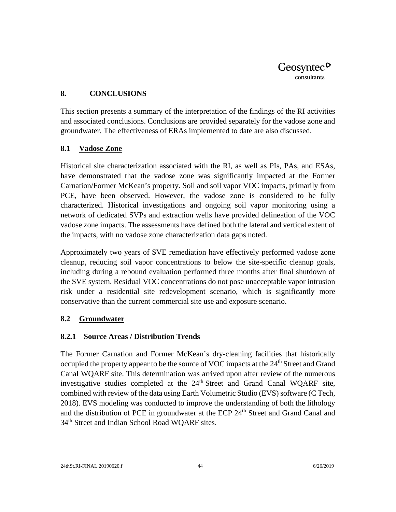#### <span id="page-54-0"></span>**8. CONCLUSIONS**

This section presents a summary of the interpretation of the findings of the RI activities and associated conclusions. Conclusions are provided separately for the vadose zone and groundwater. The effectiveness of ERAs implemented to date are also discussed.

#### <span id="page-54-1"></span>**8.1 Vadose Zone**

Historical site characterization associated with the RI, as well as PIs, PAs, and ESAs, have demonstrated that the vadose zone was significantly impacted at the Former Carnation/Former McKean's property. Soil and soil vapor VOC impacts, primarily from PCE, have been observed. However, the vadose zone is considered to be fully characterized. Historical investigations and ongoing soil vapor monitoring using a network of dedicated SVPs and extraction wells have provided delineation of the VOC vadose zone impacts. The assessments have defined both the lateral and vertical extent of the impacts, with no vadose zone characterization data gaps noted.

Approximately two years of SVE remediation have effectively performed vadose zone cleanup, reducing soil vapor concentrations to below the site-specific cleanup goals, including during a rebound evaluation performed three months after final shutdown of the SVE system. Residual VOC concentrations do not pose unacceptable vapor intrusion risk under a residential site redevelopment scenario, which is significantly more conservative than the current commercial site use and exposure scenario.

#### <span id="page-54-2"></span>**8.2 Groundwater**

#### <span id="page-54-3"></span>**8.2.1 Source Areas / Distribution Trends**

The Former Carnation and Former McKean's dry-cleaning facilities that historically occupied the property appear to be the source of VOC impacts at the  $24<sup>th</sup>$  Street and Grand Canal WQARF site. This determination was arrived upon after review of the numerous investigative studies completed at the  $24<sup>th</sup>$  Street and Grand Canal WQARF site, combined with review of the data using Earth Volumetric Studio (EVS) software (C Tech, 2018). EVS modeling was conducted to improve the understanding of both the lithology and the distribution of PCE in groundwater at the ECP 24<sup>th</sup> Street and Grand Canal and 34<sup>th</sup> Street and Indian School Road WQARF sites.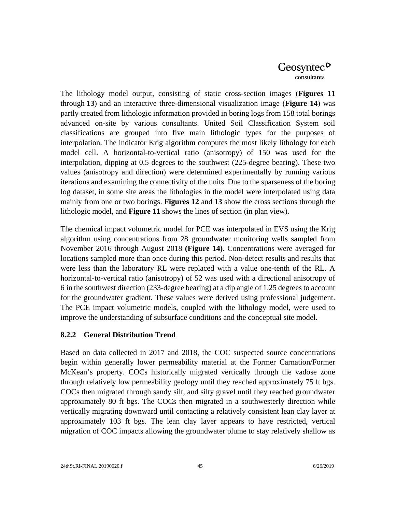The lithology model output, consisting of static cross-section images (**Figures 11** through **13**) and an interactive three-dimensional visualization image (**Figure 14**) was partly created from lithologic information provided in boring logs from 158 total borings advanced on-site by various consultants. United Soil Classification System soil classifications are grouped into five main lithologic types for the purposes of interpolation. The indicator Krig algorithm computes the most likely lithology for each model cell. A horizontal-to-vertical ratio (anisotropy) of 150 was used for the interpolation, dipping at 0.5 degrees to the southwest (225-degree bearing). These two values (anisotropy and direction) were determined experimentally by running various iterations and examining the connectivity of the units. Due to the sparseness of the boring log dataset, in some site areas the lithologies in the model were interpolated using data mainly from one or two borings. **Figures 12** and **13** show the cross sections through the lithologic model, and **Figure 11** shows the lines of section (in plan view).

The chemical impact volumetric model for PCE was interpolated in EVS using the Krig algorithm using concentrations from 28 groundwater monitoring wells sampled from November 2016 through August 2018 **(Figure 14)**. Concentrations were averaged for locations sampled more than once during this period. Non-detect results and results that were less than the laboratory RL were replaced with a value one-tenth of the RL. A horizontal-to-vertical ratio (anisotropy) of 52 was used with a directional anisotropy of 6 in the southwest direction (233-degree bearing) at a dip angle of 1.25 degrees to account for the groundwater gradient. These values were derived using professional judgement. The PCE impact volumetric models, coupled with the lithology model, were used to improve the understanding of subsurface conditions and the conceptual site model.

#### <span id="page-55-0"></span>**8.2.2 General Distribution Trend**

Based on data collected in 2017 and 2018, the COC suspected source concentrations begin within generally lower permeability material at the Former Carnation/Former McKean's property. COCs historically migrated vertically through the vadose zone through relatively low permeability geology until they reached approximately 75 ft bgs. COCs then migrated through sandy silt, and silty gravel until they reached groundwater approximately 80 ft bgs. The COCs then migrated in a southwesterly direction while vertically migrating downward until contacting a relatively consistent lean clay layer at approximately 103 ft bgs. The lean clay layer appears to have restricted, vertical migration of COC impacts allowing the groundwater plume to stay relatively shallow as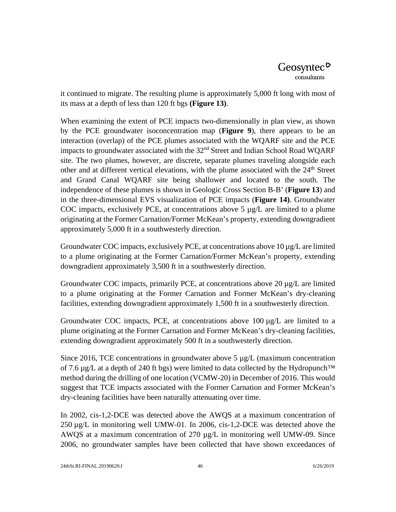it continued to migrate. The resulting plume is approximately 5,000 ft long with most of its mass at a depth of less than 120 ft bgs **(Figure 13)**.

When examining the extent of PCE impacts two-dimensionally in plan view, as shown by the PCE groundwater isoconcentration map (**Figure 9**), there appears to be an interaction (overlap) of the PCE plumes associated with the WQARF site and the PCE impacts to groundwater associated with the  $32<sup>nd</sup>$  Street and Indian School Road WQARF site. The two plumes, however, are discrete, separate plumes traveling alongside each other and at different vertical elevations, with the plume associated with the 24<sup>th</sup> Street and Grand Canal WQARF site being shallower and located to the south. The independence of these plumes is shown in Geologic Cross Section B-B' (**Figure 13**) and in the three-dimensional EVS visualization of PCE impacts (**Figure 14)**. Groundwater COC impacts, exclusively PCE, at concentrations above 5 µg/L are limited to a plume originating at the Former Carnation/Former McKean's property, extending downgradient approximately 5,000 ft in a southwesterly direction.

Groundwater COC impacts, exclusively PCE, at concentrations above  $10 \mu g/L$  are limited to a plume originating at the Former Carnation/Former McKean's property, extending downgradient approximately 3,500 ft in a southwesterly direction.

Groundwater COC impacts, primarily PCE, at concentrations above 20 µg/L are limited to a plume originating at the Former Carnation and Former McKean's dry-cleaning facilities, extending downgradient approximately 1,500 ft in a southwesterly direction.

Groundwater COC impacts, PCE, at concentrations above  $100 \mu g/L$  are limited to a plume originating at the Former Carnation and Former McKean's dry-cleaning facilities, extending downgradient approximately 500 ft in a southwesterly direction.

Since 2016, TCE concentrations in groundwater above 5  $\mu$ g/L (maximum concentration of 7.6  $\mu$ g/L at a depth of 240 ft bgs) were limited to data collected by the Hydropunch<sup>™</sup> method during the drilling of one location (VCMW-20) in December of 2016. This would suggest that TCE impacts associated with the Former Carnation and Former McKean's dry-cleaning facilities have been naturally attenuating over time.

In 2002, cis-1,2-DCE was detected above the AWQS at a maximum concentration of 250 µg/L in monitoring well UMW-01. In 2006, cis-1,2-DCE was detected above the AWQS at a maximum concentration of 270  $\mu$ g/L in monitoring well UMW-09. Since 2006, no groundwater samples have been collected that have shown exceedances of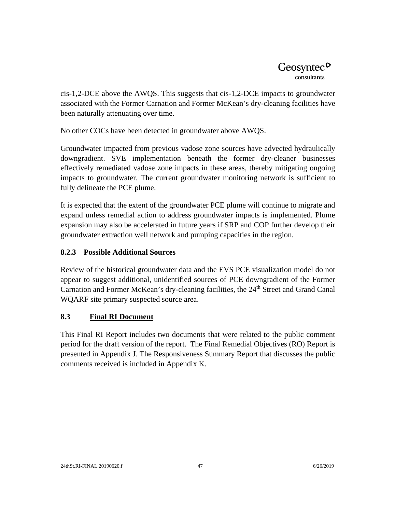cis-1,2-DCE above the AWQS. This suggests that cis-1,2-DCE impacts to groundwater associated with the Former Carnation and Former McKean's dry-cleaning facilities have been naturally attenuating over time.

No other COCs have been detected in groundwater above AWQS.

Groundwater impacted from previous vadose zone sources have advected hydraulically downgradient. SVE implementation beneath the former dry-cleaner businesses effectively remediated vadose zone impacts in these areas, thereby mitigating ongoing impacts to groundwater. The current groundwater monitoring network is sufficient to fully delineate the PCE plume.

It is expected that the extent of the groundwater PCE plume will continue to migrate and expand unless remedial action to address groundwater impacts is implemented. Plume expansion may also be accelerated in future years if SRP and COP further develop their groundwater extraction well network and pumping capacities in the region.

## <span id="page-57-0"></span>**8.2.3 Possible Additional Sources**

Review of the historical groundwater data and the EVS PCE visualization model do not appear to suggest additional, unidentified sources of PCE downgradient of the Former Carnation and Former McKean's dry-cleaning facilities, the 24<sup>th</sup> Street and Grand Canal WQARF site primary suspected source area.

## <span id="page-57-1"></span>**8.3 Final RI Document**

This Final RI Report includes two documents that were related to the public comment period for the draft version of the report. The Final Remedial Objectives (RO) Report is presented in Appendix J. The Responsiveness Summary Report that discusses the public comments received is included in Appendix K.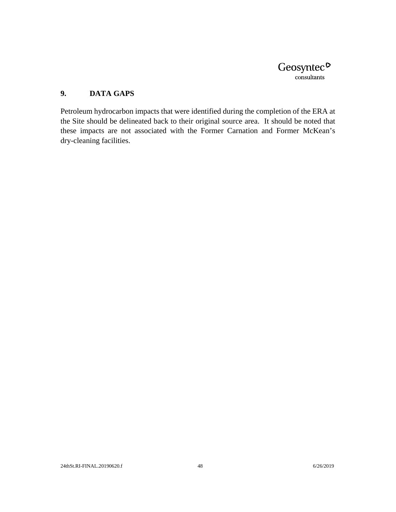

## <span id="page-58-0"></span>**9. DATA GAPS**

Petroleum hydrocarbon impacts that were identified during the completion of the ERA at the Site should be delineated back to their original source area. It should be noted that these impacts are not associated with the Former Carnation and Former McKean's dry-cleaning facilities.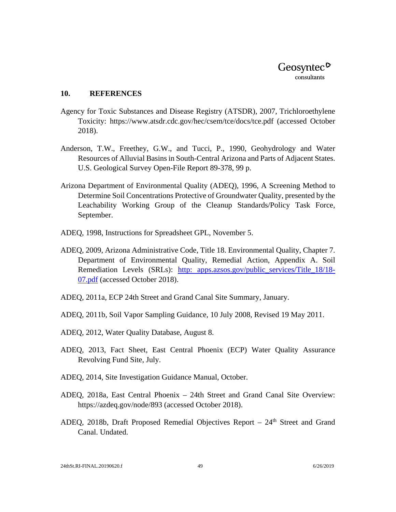#### <span id="page-59-0"></span>**10. REFERENCES**

- Agency for Toxic Substances and Disease Registry (ATSDR), 2007, Trichloroethylene Toxicity: <https://www.atsdr.cdc.gov/hec/csem/tce/docs/tce.pdf> (accessed October 2018).
- Anderson, T.W., Freethey, G.W., and Tucci, P., 1990, Geohydrology and Water Resources of Alluvial Basins in South-Central Arizona and Parts of Adjacent States. U.S. Geological Survey Open-File Report 89-378, 99 p.
- Arizona Department of Environmental Quality (ADEQ), 1996, A Screening Method to Determine Soil Concentrations Protective of Groundwater Quality, presented by the Leachability Working Group of the Cleanup Standards/Policy Task Force, September.
- ADEQ, 1998, Instructions for Spreadsheet GPL, November 5.
- ADEQ, 2009, Arizona Administrative Code, Title 18. Environmental Quality, Chapter 7. Department of Environmental Quality, Remedial Action, Appendix A. Soil Remediation Levels (SRLs): [http: apps.azsos.gov/public\\_services/Title\\_18/18-](https://apps.azsos.gov/public_services/Title_18/18-07.pdf) [07.pdf](https://apps.azsos.gov/public_services/Title_18/18-07.pdf) (accessed October 2018).
- ADEQ, 2011a, ECP 24th Street and Grand Canal Site Summary, January.
- ADEQ, 2011b, Soil Vapor Sampling Guidance, 10 July 2008, Revised 19 May 2011.
- ADEQ, 2012, Water Quality Database, August 8.
- ADEQ, 2013, Fact Sheet, East Central Phoenix (ECP) Water Quality Assurance Revolving Fund Site, July.
- ADEQ, 2014, Site Investigation Guidance Manual, October.
- ADEQ, 2018a, East Central Phoenix 24th Street and Grand Canal Site Overview: https://azdeq.gov/node/893 (accessed October 2018).
- ADEQ, 2018b, Draft Proposed Remedial Objectives Report  $-24<sup>th</sup>$  Street and Grand Canal. Undated.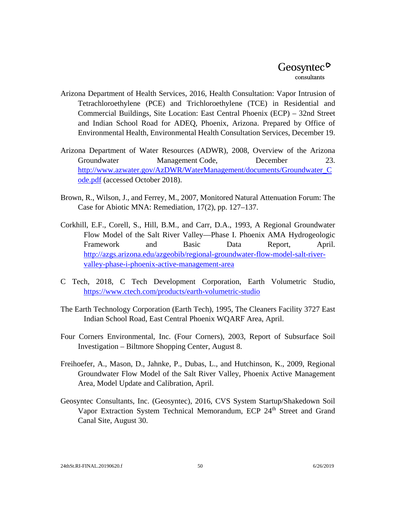- Arizona Department of Health Services, 2016, Health Consultation: Vapor Intrusion of Tetrachloroethylene (PCE) and Trichloroethylene (TCE) in Residential and Commercial Buildings, Site Location: East Central Phoenix (ECP) – 32nd Street and Indian School Road for ADEQ, Phoenix, Arizona. Prepared by Office of Environmental Health, Environmental Health Consultation Services, December 19.
- Arizona Department of Water Resources (ADWR), 2008, Overview of the Arizona Groundwater Management Code, December 23. [http://www.azwater.gov/AzDWR/WaterManagement/documents/Groundwater\\_C](http://www.azwater.gov/AzDWR/WaterManagement/documents/Groundwater_Code.pdf) [ode.pdf](http://www.azwater.gov/AzDWR/WaterManagement/documents/Groundwater_Code.pdf) (accessed October 2018).
- Brown, R., Wilson, J., and Ferrey, M., 2007, Monitored Natural Attenuation Forum: The Case for Abiotic MNA: Remediation, 17(2), pp. 127–137.
- Corkhill, E.F., Corell, S., Hill, B.M., and Carr, D.A., 1993, A Regional Groundwater Flow Model of the Salt River Valley—Phase I. Phoenix AMA Hydrogeologic Framework and Basic Data Report, April. [http://azgs.arizona.edu/azgeobib/regional-groundwater-flow-model-salt-river](http://azgs.arizona.edu/azgeobib/regional-groundwater-flow-model-salt-river-valley-phase-i-phoenix-active-management-area)[valley-phase-i-phoenix-active-management-area](http://azgs.arizona.edu/azgeobib/regional-groundwater-flow-model-salt-river-valley-phase-i-phoenix-active-management-area)
- C Tech, 2018, C Tech Development Corporation, Earth Volumetric Studio, <https://www.ctech.com/products/earth-volumetric-studio>
- The Earth Technology Corporation (Earth Tech), 1995, The Cleaners Facility 3727 East Indian School Road, East Central Phoenix WQARF Area, April.
- Four Corners Environmental, Inc. (Four Corners), 2003, Report of Subsurface Soil Investigation – Biltmore Shopping Center, August 8.
- Freihoefer, A., Mason, D., Jahnke, P., Dubas, L., and Hutchinson, K., 2009, Regional Groundwater Flow Model of the Salt River Valley, Phoenix Active Management Area, Model Update and Calibration, April.
- Geosyntec Consultants, Inc. (Geosyntec), 2016, CVS System Startup/Shakedown Soil Vapor Extraction System Technical Memorandum, ECP 24<sup>th</sup> Street and Grand Canal Site, August 30.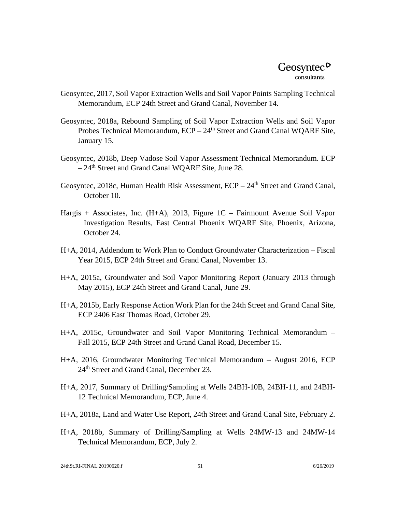- Geosyntec, 2017, Soil Vapor Extraction Wells and Soil Vapor Points Sampling Technical Memorandum, ECP 24th Street and Grand Canal, November 14.
- Geosyntec, 2018a, Rebound Sampling of Soil Vapor Extraction Wells and Soil Vapor Probes Technical Memorandum,  $ECP - 24<sup>th</sup>$  Street and Grand Canal WQARF Site, January 15.
- Geosyntec, 2018b, Deep Vadose Soil Vapor Assessment Technical Memorandum. ECP – 24<sup>th</sup> Street and Grand Canal WQARF Site, June 28.
- Geosyntec, 2018c, Human Health Risk Assessment, ECP 24<sup>th</sup> Street and Grand Canal, October 10.
- Hargis + Associates, Inc. (H+A), 2013, Figure 1C Fairmount Avenue Soil Vapor Investigation Results, East Central Phoenix WQARF Site, Phoenix, Arizona, October 24.
- H+A, 2014, Addendum to Work Plan to Conduct Groundwater Characterization Fiscal Year 2015, ECP 24th Street and Grand Canal, November 13.
- H+A, 2015a, Groundwater and Soil Vapor Monitoring Report (January 2013 through May 2015), ECP 24th Street and Grand Canal, June 29.
- H+A, 2015b, Early Response Action Work Plan for the 24th Street and Grand Canal Site, ECP 2406 East Thomas Road, October 29.
- H+A, 2015c, Groundwater and Soil Vapor Monitoring Technical Memorandum Fall 2015, ECP 24th Street and Grand Canal Road, December 15.
- H+A, 2016, Groundwater Monitoring Technical Memorandum August 2016, ECP 24th Street and Grand Canal, December 23.
- H+A, 2017, Summary of Drilling/Sampling at Wells 24BH-10B, 24BH-11, and 24BH-12 Technical Memorandum, ECP, June 4.
- H+A, 2018a, Land and Water Use Report, 24th Street and Grand Canal Site, February 2.
- H+A, 2018b, Summary of Drilling/Sampling at Wells 24MW-13 and 24MW-14 Technical Memorandum, ECP, July 2.

24thSt.RI-FINAL.20190620.f 51 6/26/2019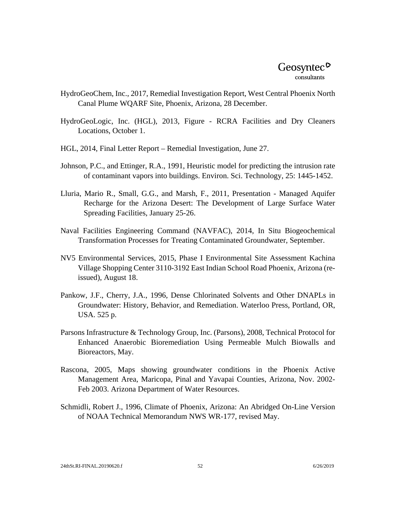- HydroGeoChem, Inc., 2017, Remedial Investigation Report, West Central Phoenix North Canal Plume WQARF Site, Phoenix, Arizona, 28 December.
- HydroGeoLogic, Inc. (HGL), 2013, Figure RCRA Facilities and Dry Cleaners Locations, October 1.
- HGL, 2014, Final Letter Report Remedial Investigation, June 27.
- Johnson, P.C., and Ettinger, R.A., 1991, Heuristic model for predicting the intrusion rate of contaminant vapors into buildings. Environ. Sci. Technology, 25: 1445-1452.
- Lluria, Mario R., Small, G.G., and Marsh, F., 2011, Presentation Managed Aquifer Recharge for the Arizona Desert: The Development of Large Surface Water Spreading Facilities, January 25-26.
- Naval Facilities Engineering Command (NAVFAC), 2014, In Situ Biogeochemical Transformation Processes for Treating Contaminated Groundwater, September.
- NV5 Environmental Services, 2015, Phase I Environmental Site Assessment Kachina Village Shopping Center 3110-3192 East Indian School Road Phoenix, Arizona (reissued), August 18.
- Pankow, J.F., Cherry, J.A., 1996, Dense Chlorinated Solvents and Other DNAPLs in Groundwater: History, Behavior, and Remediation. Waterloo Press, Portland, OR, USA. 525 p.
- Parsons Infrastructure & Technology Group, Inc. (Parsons), 2008, Technical Protocol for Enhanced Anaerobic Bioremediation Using Permeable Mulch Biowalls and Bioreactors, May.
- Rascona, 2005, Maps showing groundwater conditions in the Phoenix Active Management Area, Maricopa, Pinal and Yavapai Counties, Arizona, Nov. 2002- Feb 2003. Arizona Department of Water Resources.
- Schmidli, Robert J., 1996, Climate of Phoenix, Arizona: An Abridged On-Line Version of NOAA Technical Memorandum NWS WR-177, revised May.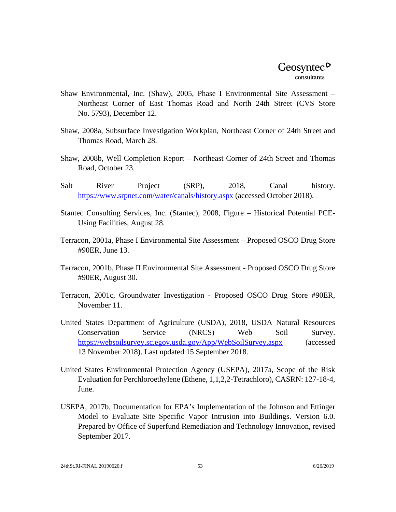- Shaw Environmental, Inc. (Shaw), 2005, Phase I Environmental Site Assessment Northeast Corner of East Thomas Road and North 24th Street (CVS Store No. 5793), December 12.
- Shaw, 2008a, Subsurface Investigation Workplan, Northeast Corner of 24th Street and Thomas Road, March 28.
- Shaw, 2008b, Well Completion Report Northeast Corner of 24th Street and Thomas Road, October 23.
- Salt River Project (SRP), 2018, Canal history. <https://www.srpnet.com/water/canals/history.aspx> (accessed October 2018).
- Stantec Consulting Services, Inc. (Stantec), 2008, Figure Historical Potential PCE-Using Facilities, August 28.
- Terracon, 2001a, Phase I Environmental Site Assessment Proposed OSCO Drug Store #90ER, June 13.
- Terracon, 2001b, Phase II Environmental Site Assessment Proposed OSCO Drug Store #90ER, August 30.
- Terracon, 2001c, Groundwater Investigation Proposed OSCO Drug Store #90ER, November 11.
- United States Department of Agriculture (USDA), 2018, USDA Natural Resources Conservation Service (NRCS) Web Soil Survey. <https://websoilsurvey.sc.egov.usda.gov/App/WebSoilSurvey.aspx> (accessed 13 November 2018). Last updated 15 September 2018.
- United States Environmental Protection Agency (USEPA), 2017a, Scope of the Risk Evaluation for Perchloroethylene (Ethene, 1,1,2,2-Tetrachloro), CASRN: 127-18-4, June.
- USEPA, 2017b, Documentation for EPA's Implementation of the Johnson and Ettinger Model to Evaluate Site Specific Vapor Intrusion into Buildings. Version 6.0. Prepared by Office of Superfund Remediation and Technology Innovation, revised September 2017.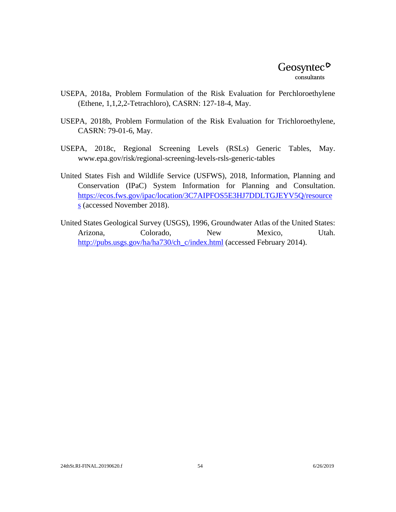- USEPA, 2018a, Problem Formulation of the Risk Evaluation for Perchloroethylene (Ethene, 1,1,2,2-Tetrachloro), CASRN: 127-18-4, May.
- USEPA, 2018b, Problem Formulation of the Risk Evaluation for Trichloroethylene, CASRN: 79-01-6, May.
- USEPA, 2018c, Regional Screening Levels (RSLs) Generic Tables, May. www.epa.gov/risk/regional-screening-levels-rsls-generic-tables
- United States Fish and Wildlife Service (USFWS), 2018, Information, Planning and Conservation (IPaC) System Information for Planning and Consultation. [https://ecos.fws.gov/ipac/location/3C7AIPFOS5E3HJ7DDLTGJEYV5Q/resource](https://ecos.fws.gov/ipac/location/3C7AIPFOS5E3HJ7DDLTGJEYV5Q/resources) [s](https://ecos.fws.gov/ipac/location/3C7AIPFOS5E3HJ7DDLTGJEYV5Q/resources) (accessed November 2018).
- United States Geological Survey (USGS), 1996, Groundwater Atlas of the United States: Arizona, Colorado, New Mexico, Utah. [http://pubs.usgs.gov/ha/ha730/ch\\_c/index.html](http://pubs.usgs.gov/ha/ha730/ch_c/index.html) (accessed February 2014).